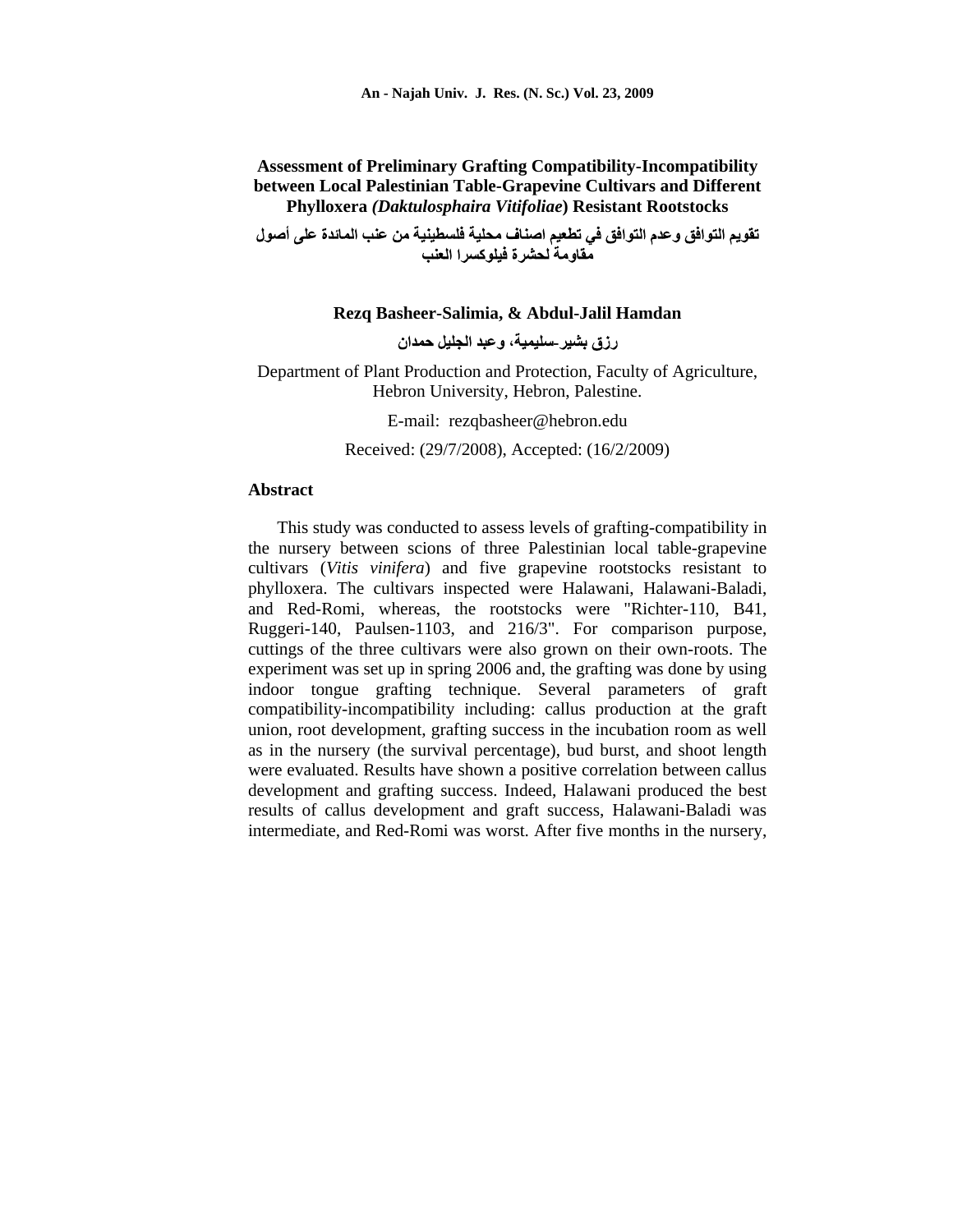# **Assessment of Preliminary Grafting Compatibility-Incompatibility between Local Palestinian Table-Grapevine Cultivars and Different Phylloxera** *(Daktulosphaira Vitifoliae***) Resistant Rootstocks**

تقويم التوافق وعدم التوافق في تطعيم اصناف محلية فلسطينية من عنب المائدة على أصول مقاومة لحشرة فبلوكسرا العنب

**Rezq Basheer-Salimia, & Abdul-Jalil Hamdan**

رزق بشير - مستقيم بن المستقيم بن المستقيم بن المستقيم بن المستقيم بن المستقيم بن المستقيم بن المستقيم بن المستق

Department of Plant Production and Protection, Faculty of Agriculture, Hebron University, Hebron, Palestine.

E-mail: rezqbasheer@hebron.edu

Received: (29/7/2008), Accepted: (16/2/2009)

#### **Abstract**

This study was conducted to assess levels of grafting-compatibility in the nursery between scions of three Palestinian local table-grapevine cultivars (*Vitis vinifera*) and five grapevine rootstocks resistant to phylloxera. The cultivars inspected were Halawani, Halawani-Baladi, and Red-Romi, whereas, the rootstocks were "Richter-110, B41, Ruggeri-140, Paulsen-1103, and 216/3". For comparison purpose, cuttings of the three cultivars were also grown on their own-roots. The experiment was set up in spring 2006 and, the grafting was done by using indoor tongue grafting technique. Several parameters of graft compatibility-incompatibility including: callus production at the graft union, root development, grafting success in the incubation room as well as in the nursery (the survival percentage), bud burst, and shoot length were evaluated. Results have shown a positive correlation between callus development and grafting success. Indeed, Halawani produced the best results of callus development and graft success, Halawani-Baladi was intermediate, and Red-Romi was worst. After five months in the nursery,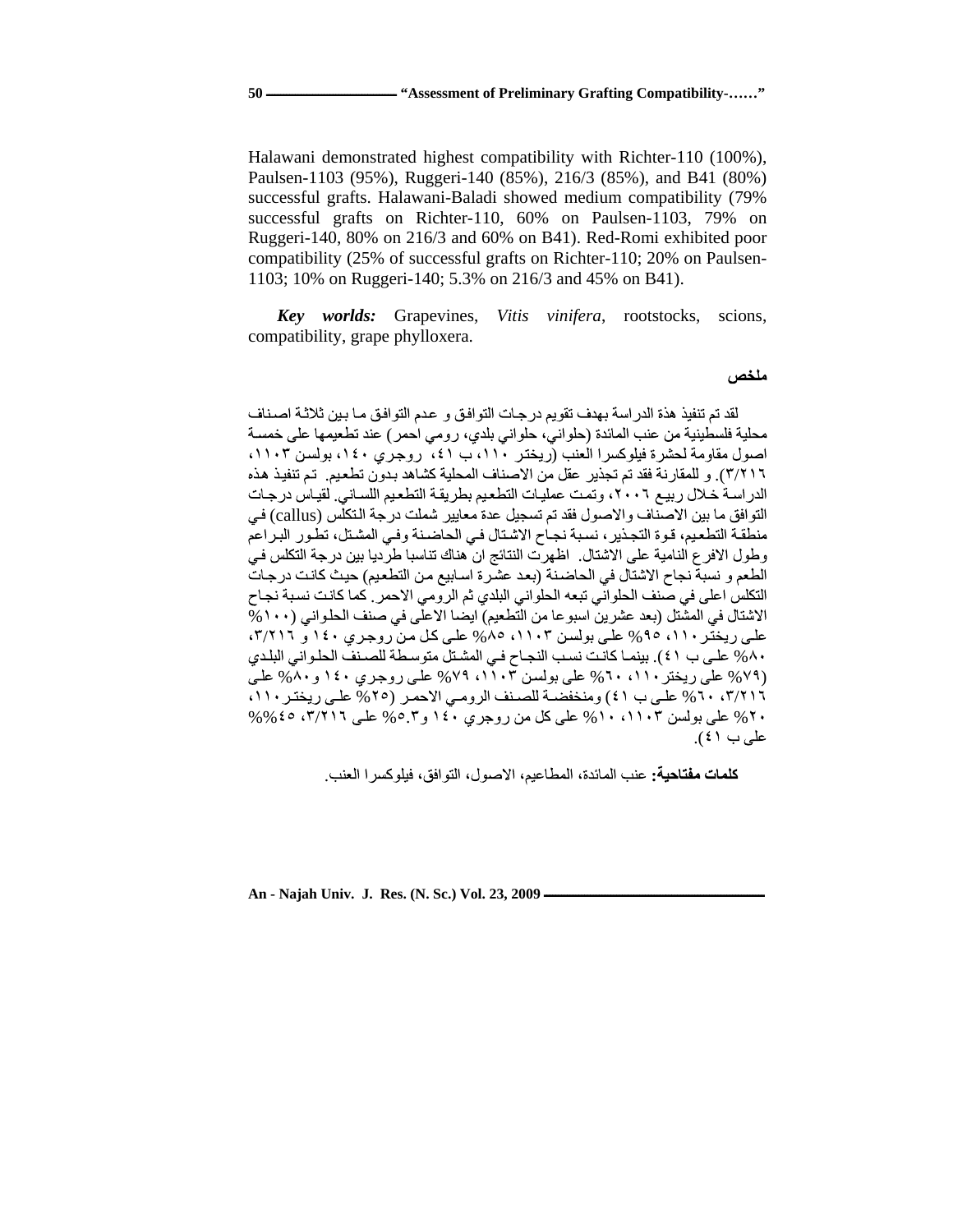Halawani demonstrated highest compatibility with Richter-110 (100%), Paulsen-1103 (95%), Ruggeri-140 (85%), 216/3 (85%), and B41 (80%) successful grafts. Halawani-Baladi showed medium compatibility (79% successful grafts on Richter-110, 60% on Paulsen-1103, 79% on Ruggeri-140, 80% on 216/3 and 60% on B41). Red-Romi exhibited poor compatibility (25% of successful grafts on Richter-110; 20% on Paulsen- 1103; 10% on Ruggeri-140; 5.3% on 216/3 and 45% on B41).

*Key worlds:* Grapevines, *Vitis vinifera*, rootstocks, scions, compatibility, grape phylloxera.

#### ملخص

لقد تم تنفيذ هذة الدر اسة بهدف تقويم در جـات التو افـق و عـدم التو افـق مـا بـين ثلاثـة اصـنـاف محلية فلسطينية من عنب المائدة (حلواني، حلواني بلدي، رومي احمر ) عند تطعيمها على خمسة اصول مقاومة لحشرة فيلوكسرا العنب (ريختر ١١٠، ب ٤١، روجري ١٤٠، بولسن ١١٠٣، ٣/٢١٦). و للمقارنة فقد تم تجذير عقل من الاصناف المحلية كشاهد بدون تطعيم. تم تنفيذ هذه الدراسة خلال ربيع ٢٠٠٦، وتمت عمليات التطعيم بطريقة التطعيم اللساني. لقياس درجات التوافق ما بين الاصناف والاصول فقد تم تسجيل عدة معايير شملت درجة النكلس (callus) في<br>منطقة التطعيم، قوة التجذير ، نسبة نجاح الاشتال في الحاضنة وفي المشتل، تطور البراعم وطول الافر ع النامية على الاشتال. اظهرت النتائج ان هناك تناسبا طرديا بين درجة التكلس في الطعم و نسبة نجاح الاشتال في الحاضنة (بعد عشرة اسابيع من التطعيم) حيث كانت درجات التكلس اعلى في صنف الحلواني تبعه الحلواني البلدي ثم الرومي الاحمر . كما كانت نسبة نجاح الاشتال في المشتل (بعد عشرين اسبو عا من التّطعيم) ايضـا الاعلّي في صنف الحلـواني (١٠٠% علـى ريختر ١١٠، ٩٥% علـى بولسن ١١٠٣، ٨٥% علـى كل من روجري ١٤٠ و ٣/٢١٦،<br>٨٠% علـى ب ٤١). بينمـا كانـت نسـب النجـاح فـي المشـتل متوسـطة للصـنف الحلـواني البلـدي .  $(\mathfrak{k} \setminus \mathfrak{g}) \hookrightarrow \mathfrak{g}$  علــی ب (۷۹ % علَّمَ ريختر ۲۰،۱۱۰ % علي بولسن ۱۱۰۳، ۷۹% علي روجري ۱٤۰ و ۸۰% علي ٣/٢١٦، ٢٠% علي ب ٤١) ومنخفضة للصنف الرومي الاحمر (٢٥% علي ريختر ١١٠، ۲۰% علی بولسن ۱۱۰۳، ۱۰% علی کل من روجری ۱۶۰ و ۵٫۳ علی ۲/۲۱۶، ۴۵% %  $\mathsf{d}_\omega\to\mathsf{d}$  and  $\mathsf{d}_\omega\to\mathsf{d}$  .

**كلمات مفتاحية:** عنب المائدة، المطاعيم، الاصول، التوافق، فيلوكسر ا العنب.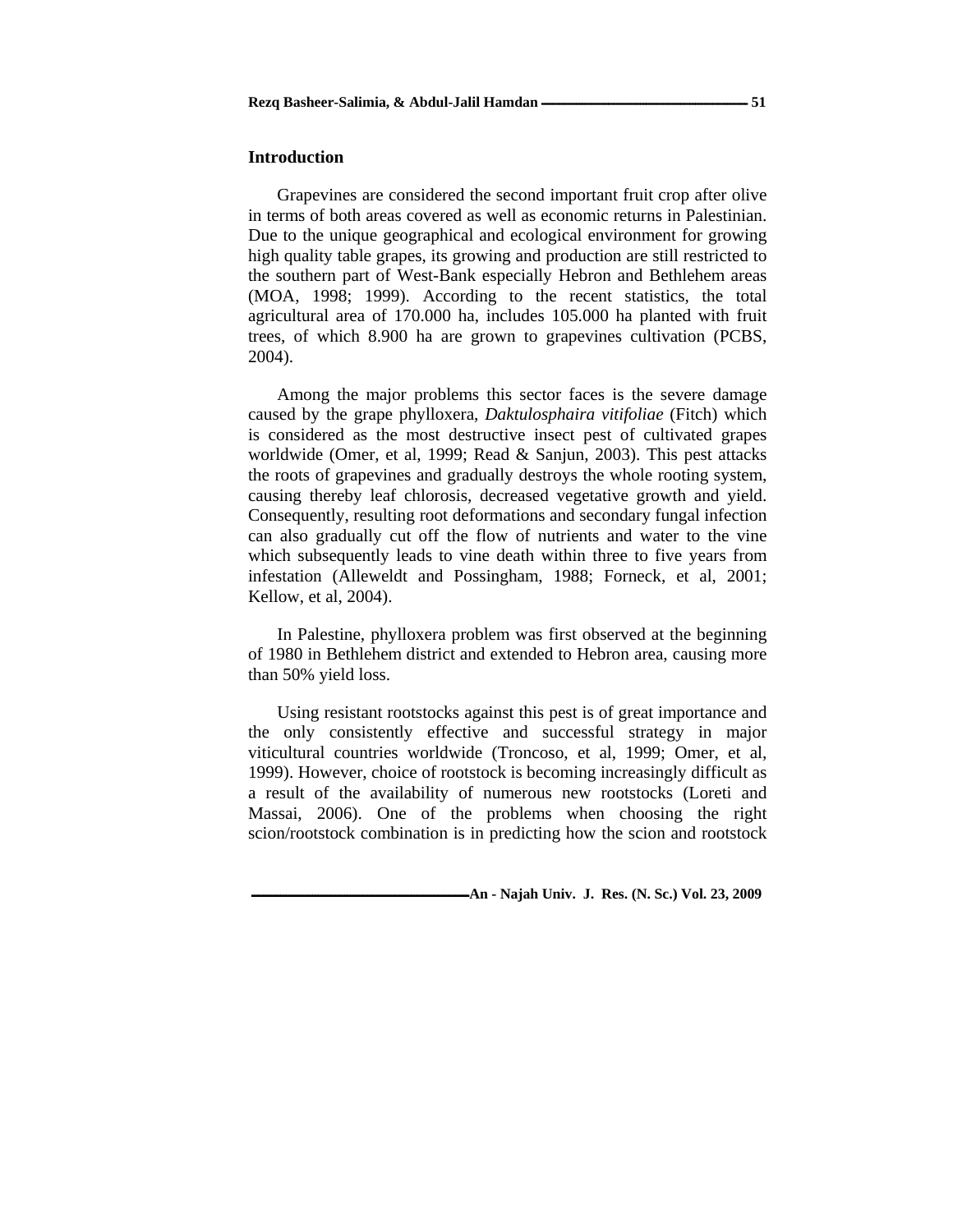#### **Introduction**

Grapevines are considered the second important fruit crop after olive in terms of both areas covered as well as economic returns in Palestinian. Due to the unique geographical and ecological environment for growing high quality table grapes, its growing and production are still restricted to the southern part of West-Bank especially Hebron and Bethlehem areas (MOA, 1998; 1999). According to the recent statistics, the total agricultural area of 170.000 ha, includes 105.000 ha planted with fruit trees, of which 8.900 ha are grown to grapevines cultivation (PCBS, 2004).

Among the major problems this sector faces is the severe damage caused by the grape phylloxera, *Daktulosphaira vitifoliae* (Fitch) which is considered as the most destructive insect pest of cultivated grapes worldwide (Omer, et al, 1999; Read & Sanjun, 2003). This pest attacks the roots of grapevines and gradually destroys the whole rooting system, causing thereby leaf chlorosis, decreased vegetative growth and yield. Consequently, resulting root deformations and secondary fungal infection can also gradually cut off the flow of nutrients and water to the vine which subsequently leads to vine death within three to five years from infestation (Alleweldt and Possingham, 1988; Forneck, et al, 2001; Kellow, et al, 2004).<br>In Palestine, phylloxera problem was first observed at the beginning

of 1980 in Bethlehem district and extended to Hebron area, causing more than 50% yield loss.<br>Using resistant rootstocks against this pest is of great importance and

the only consistently effective and successful strategy in major viticultural countries worldwide (Troncoso, et al, 1999; Omer, et al, 1999). However, choice of rootstock is becoming increasingly difficult as a result of the availability of numerous new rootstocks (Loreti and Massai, 2006). One of the problems when choosing the right scion/rootstock combination is in predicting how the scion and rootstock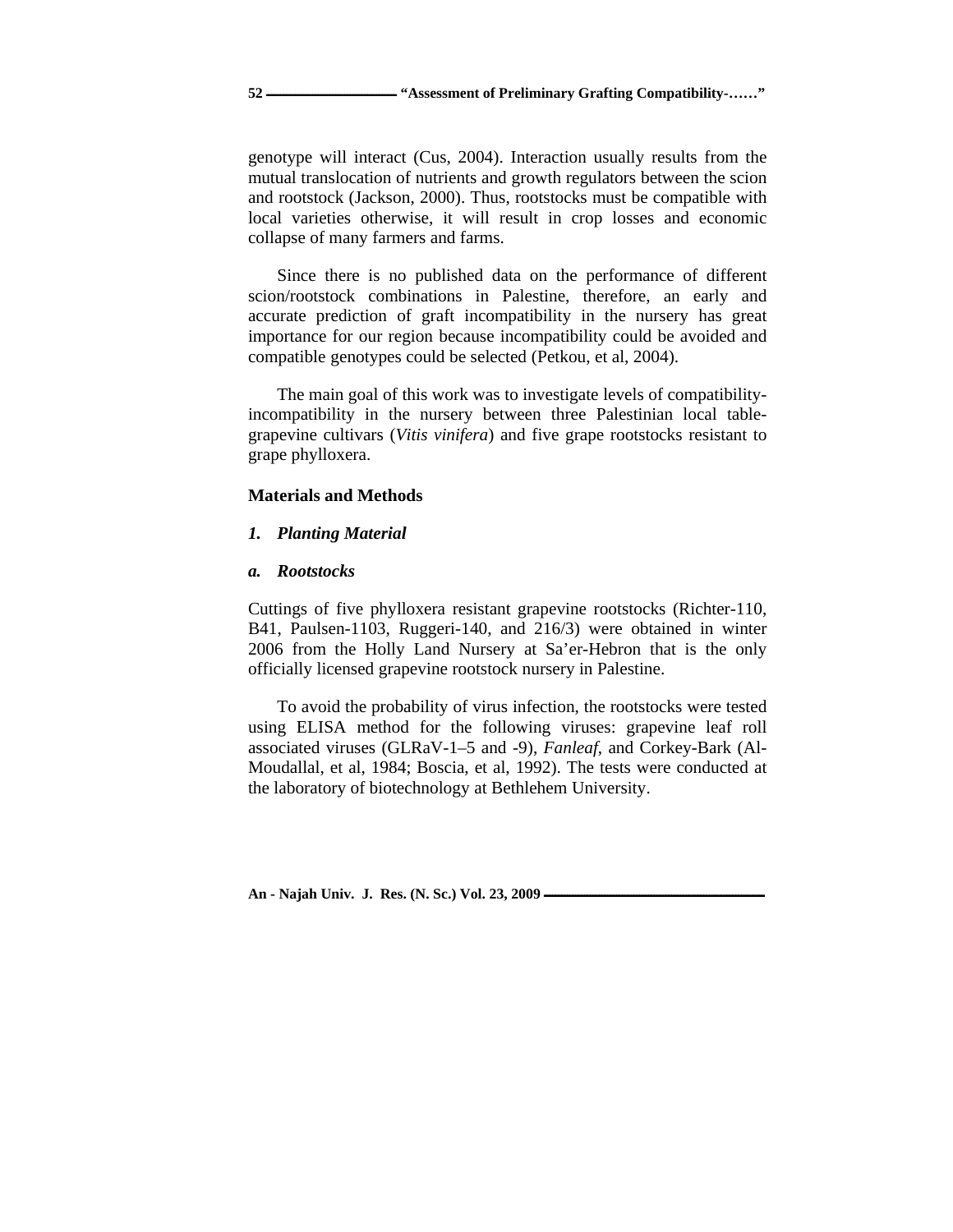genotype will interact (Cus, 2004). Interaction usually results from the mutual translocation of nutrients and growth regulators between the scion and rootstock (Jackson, 2000). Thus, rootstocks must be compatible with local varieties otherwise, it will result in crop losses and economic collapse of many farmers and farms.

Since there is no published data on the performance of different scion/rootstock combinations in Palestine, therefore, an early and accurate prediction of graft incompatibility in the nursery has great importance for our region because incompatibility could be avoided and compatible genotypes could be selected (Petkou, et al, 2004).

The main goal of this work was to investigate levels of compatibilityincompatibility in the nursery between three Palestinian local table grapevine cultivars (*Vitis vinifera*) and five grape rootstocks resistant to grape phylloxera.

## **Materials and Methods**

### *1. Planting Material*

#### *a. Rootstocks*

Cuttings of five phylloxera resistant grapevine rootstocks (Richter-110, B41, Paulsen-1103, Ruggeri-140, and 216/3) were obtained in winter 2006 from the Holly Land Nursery at Sa'er-Hebron that is the only

officially licensed grapevine rootstock nursery in Palestine. To avoid the probability of virus infection, the rootstocks were tested using ELISA method for the following viruses: grapevine leaf roll associated viruses (GLRaV-1–5 and -9), *Fanleaf*, and Corkey-Bark (Al- Moudallal, et al, 1984; Boscia, et al, 1992). The tests were conducted at the laboratory of biotechnology at Bethlehem University.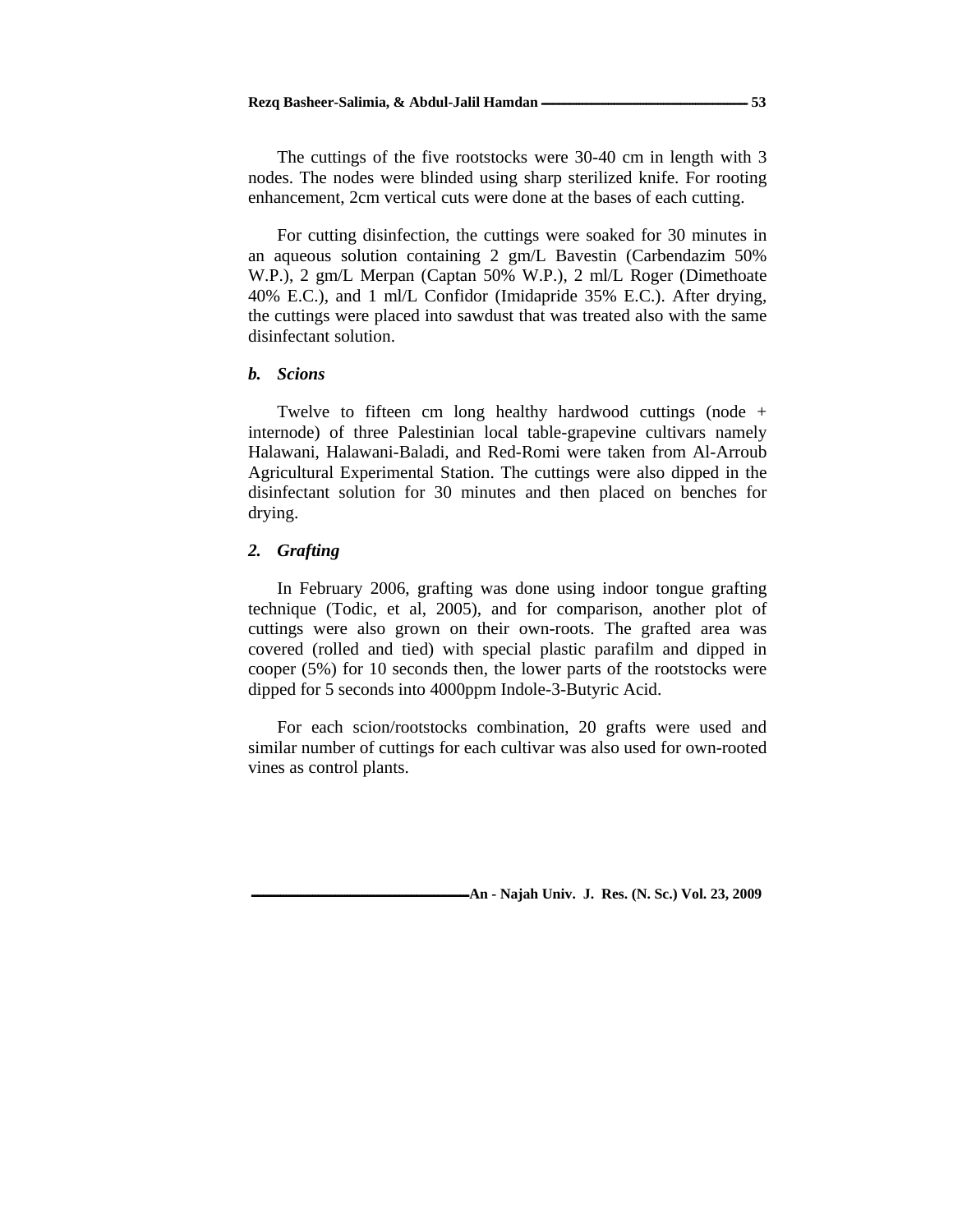The cuttings of the five rootstocks were 30-40 cm in length with 3 nodes. The nodes were blinded using sharp sterilized knife. For rooting enhancement, 2cm vertical cuts were done at the bases of each cutting.

For cutting disinfection, the cuttings were soaked for 30 minutes in an aqueous solution containing 2 gm/L Bavestin (Carbendazim 50% W.P.), 2 gm/L Merpan (Captan 50% W.P.), 2 ml/L Roger (Dimethoate 40% E.C.), and 1 ml/L Confidor (Imidapride 35% E.C.). After drying, the cuttings were placed into sawdust that was treated also with the same disinfectant solution.

### *b. Scions*

Twelve to fifteen cm long healthy hardwood cuttings (node + internode) of three Palestinian local table-grapevine cultivars namely Halawani, Halawani-Baladi, and Red-Romi were taken from Al-Arroub Agricultural Experimental Station. The cuttings were also dipped in the disinfectant solution for 30 minutes and then placed on benches for drying.

### *2. Grafting*

In February 2006, grafting was done using indoor tongue grafting technique (Todic, et al, 2005), and for comparison, another plot of cuttings were also grown on their own-roots. The grafted area was covered (rolled and tied) with special plastic parafilm and dipped in cooper (5%) for 10 seconds then, the lower parts of the rootstocks were dipped for 5 seconds into 4000ppm Indole-3-Butyric Acid.

For each scion/rootstocks combination, 20 grafts were used and similar number of cuttings for each cultivar was also used for own-rooted vines as control plants.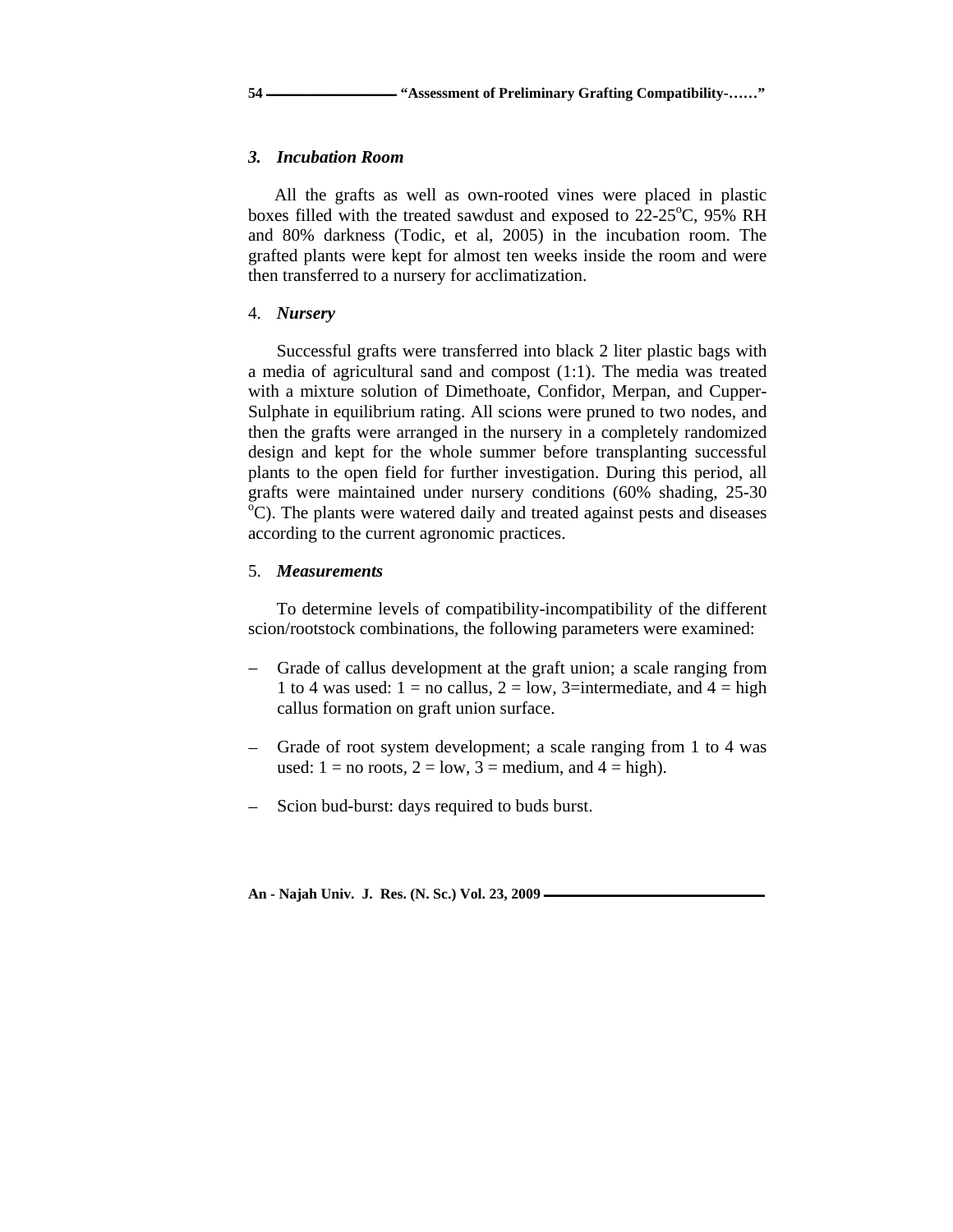#### *3. Incubation Room*

All the grafts as well as own-rooted vines were placed in plastic boxes filled with the treated sawdust and exposed to  $22-25^{\circ}$ C, 95% RH and 80% darkness (Todic, et al, 2005) in the incubation room. The grafted plants were kept for almost ten weeks inside the room and were then transferred to a nursery for acclimatization.

#### 4. *Nursery*

Successful grafts were transferred into black 2 liter plastic bags with a media of agricultural sand and compost  $(1:1)$ . The media was treated with a mixture solution of Dimethoate, Confidor, Merpan, and Cupper- Sulphate in equilibrium rating. All scions were pruned to two nodes, and then the grafts were arranged in the nursery in a completely randomized design and kept for the whole summer before transplanting successful plants to the open field for further investigation. During this period, all grafts were maintained under nursery conditions (60% shading, 25-30 °C). The plants were watered daily and treated against pests and diseases according to the current agronomic practices.

### 5. *Measurements*

To determine levels of compatibility-incompatibility of the different scion/rootstock combinations, the following parameters were examined:

- Grade of callus development at the graft union; a scale ranging from  $-$ 1 to 4 was used:  $1 = no$  callus,  $2 = low$ , 3=intermediate, and  $4 = high$ callus formation on graft union surface.
- Grade of root system development; a scale ranging from 1 to 4 was used:  $1 = no$  roots,  $2 = low$ ,  $3 = medium$ , and  $4 = high$ ).
- Scion bud-burst: days required to buds burst.  $\overline{\phantom{0}}$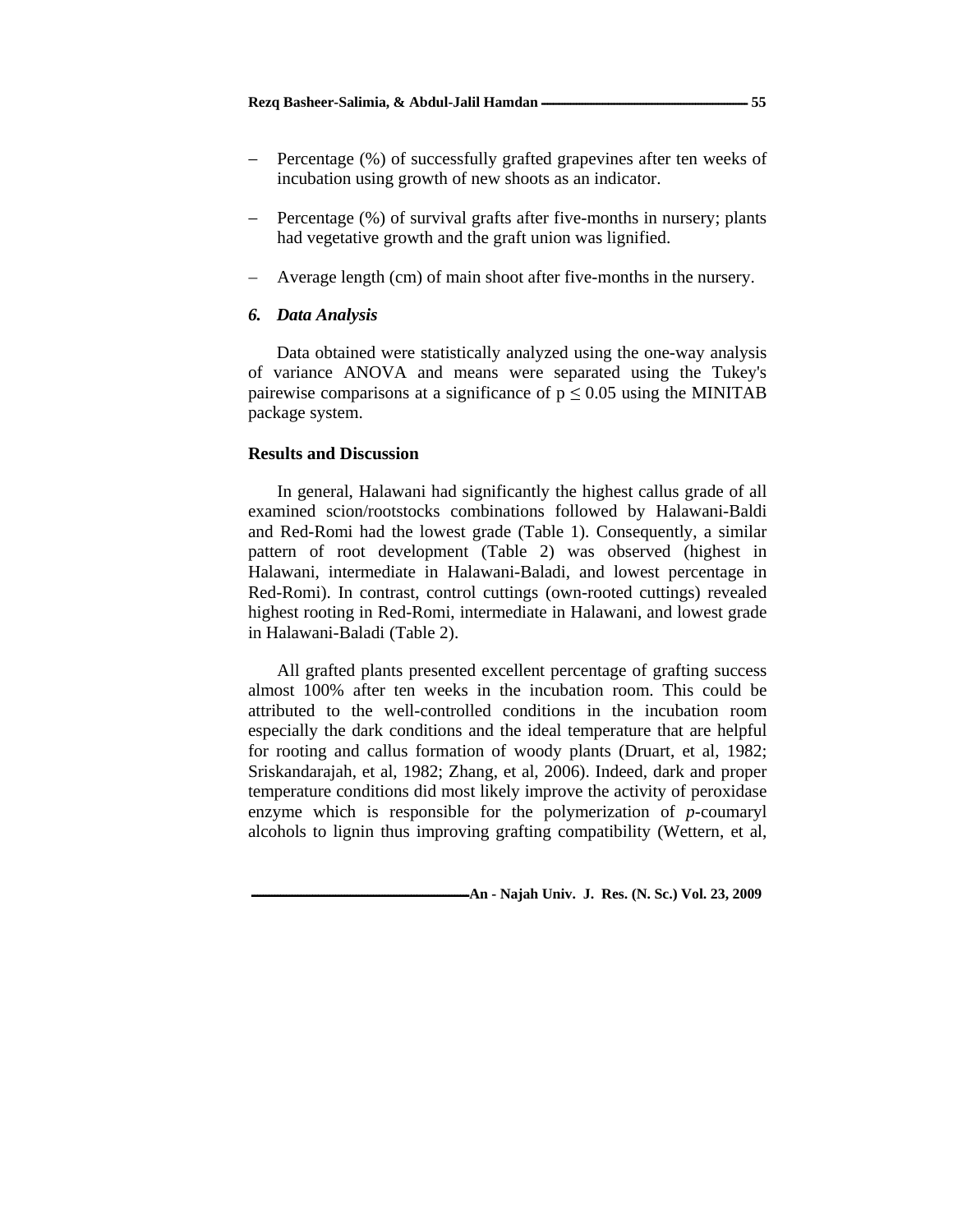- Percentage (%) of successfully grafted grapevines after ten weeks of  $$ incubation using growth of new shoots as an indicator.
- Percentage (%) of survival grafts after five-months in nursery; plants  $\equiv$  . had vegetative growth and the graft union was lignified.
- Average length (cm) of main shoot after five-months in the nursery.

## *6. Data Analysis*

Data obtained were statistically analyzed using the one-way analysis of variance ANOVA and means were separated using the Tukey's pairewise comparisons at a significance of  $p \leq 0.05$  using the MINITAB package system.

#### **Results and Discussion**

In general, Halawani had significantly the highest callus grade of all examined scion/rootstocks combinations followed by Halawani-Baldi and Red-Romi had the lowest grade (Table 1). Consequently, a similar pattern of root development (Table 2) was observed (highest in Halawani, intermediate in Halawani-Baladi, and lowest percentage in Red-Romi). In contrast, control cuttings (own-rooted cuttings) revealed highest rooting in Red-Romi, intermediate in Halawani, and lowest grade in Halawani-Baladi (Table 2). All grafted plants presented excellent percentage of grafting success

almost 100% after ten weeks in the incubation room. This could be attributed to the well-controlled conditions in the incubation room especially the dark conditions and the ideal temperature that are helpful for rooting and callus formation of woody plants (Druart, et al, 1982; Sriskandarajah, et al, 1982; Zhang, et al, 2006). Indeed, dark and proper temperature conditions did most likely improve the activity of peroxidase enzyme which is responsible for the polymerization of  $p$ -coumaryl alcohols to lignin thus improving grafting compatibility (Wettern, et al,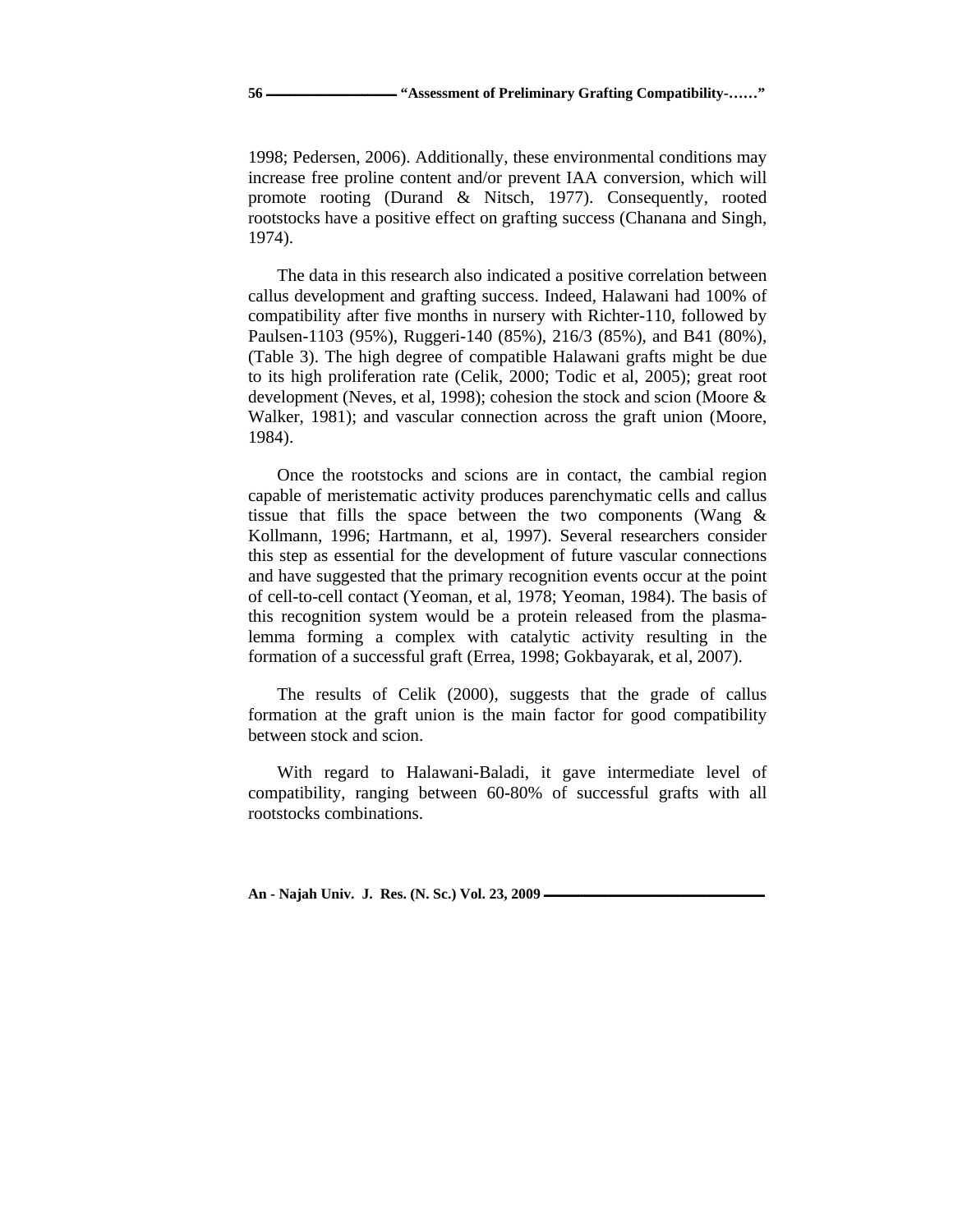1998; Pedersen, 2006). Additionally, these environmental conditions may increase free proline content and/or prevent IAA conversion, which will promote rooting (Durand & Nitsch, 1977). Consequently, rooted rootstocks have a positive effect on grafting success (Chanana and Singh, 1974).

The data in this research also indicated a positive correlation between callus development and grafting success. Indeed, Halawani had 100% of compatibility after five months in nursery with Richter-110, followed by Paulsen-1103 (95%), Ruggeri-140 (85%), 216/3 (85%), and B41 (80%), (Table 3). The high degree of compatible Halawani grafts might be due to its high proliferation rate (Celik, 2000; Todic et al, 2005); great root development (Neves, et al, 1998); cohesion the stock and scion (Moore & Walker, 1981); and vascular connection across the graft union (Moore,

1984). Once the rootstocks and scions are in contact, the cambial region capable of meristematic activity produces parenchymatic cells and callus tissue that fills the space between the two components (Wang  $\&$ Kollmann, 1996; Hartmann, et al, 1997). Several researchers consider this step as essential for the development of future vascular connections and have suggested that the primary recognition events occur at the point of cell-to-cell contact (Yeoman, et al, 1978; Yeoman, 1984). The basis of this recognition system would be a protein released from the plasmalemma forming a complex with catalytic activity resulting in the formation of a successful graft (Errea, 1998; Gokbayarak, et al, 2007).

The results of Celik (2000), suggests that the grade of callus formation at the graft union is the main factor for good compatibility between stock and scion.

With regard to Halawani-Baladi, it gave intermediate level of compatibility, ranging between 60-80% of successful grafts with all rootstocks combinations.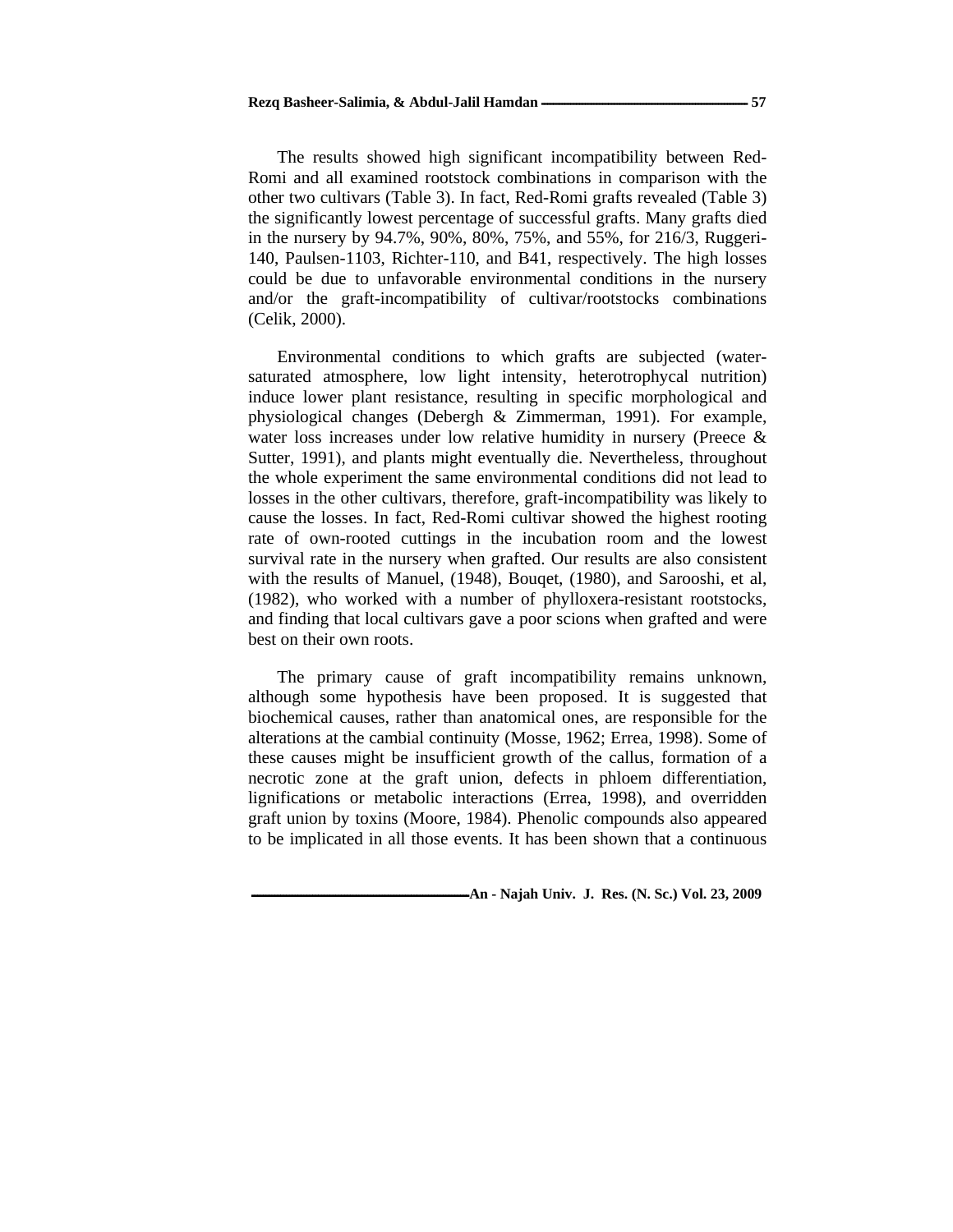#### **Rezq Basheer-Salimia, & Abdul-Jalil Hamdan 57**

The results showed high significant incompatibility between Red- Romi and all examined rootstock combinations in comparison with the other two cultivars (Table 3). In fact, Red-Romi grafts revealed (Table 3) the significantly lowest percentage of successful grafts. Many grafts died in the nursery by 94.7%, 90%, 80%, 75%, and 55%, for 216/3, Ruggeri- 140, Paulsen-1103, Richter-110, and B41, respectively. The high losses could be due to unfavorable environmental conditions in the nursery and/or the graft-incompatibility of cultivar/rootstocks combinations

(Celik, 2000). Environmental conditions to which grafts are subjected (water saturated atmosphere, low light intensity, heterotrophycal nutrition) induce lower plant resistance, resulting in specific morphological and physiological changes (Debergh & Zimmerman, 1991). For example, water loss increases under low relative humidity in nursery (Preece & Sutter, 1991), and plants might eventually die. Nevertheless, throughout the whole experiment the same environmental conditions did not lead to losses in the other cultivars, therefore, graft-incompatibility was likely to cause the losses. In fact, Red-Romi cultivar showed the highest rooting rate of own-rooted cuttings in the incubation room and the lowest survival rate in the nursery when grafted. Our results are also consistent with the results of Manuel, (1948), Bouqet, (1980), and Sarooshi, et al, (1982), who worked with a number of phylloxera-resistant rootstocks, and finding that local cultivars gave a poor scions when grafted and were best on their own roots.

The primary cause of graft incompatibility remains unknown, although some hypothesis have been proposed. It is suggested that biochemical causes, rather than anatomical ones, are responsible for the alterations at the cambial continuity (Mosse, 1962; Errea, 1998). Some of these causes might be insufficient growth of the callus, formation of a necrotic zone at the graft union, defects in phloem differentiation, lignifications or metabolic interactions (Errea, 1998), and overridden graft union by toxins (Moore, 1984). Phenolic compounds also appeared to be implicated in all those events. It has been shown that a continuous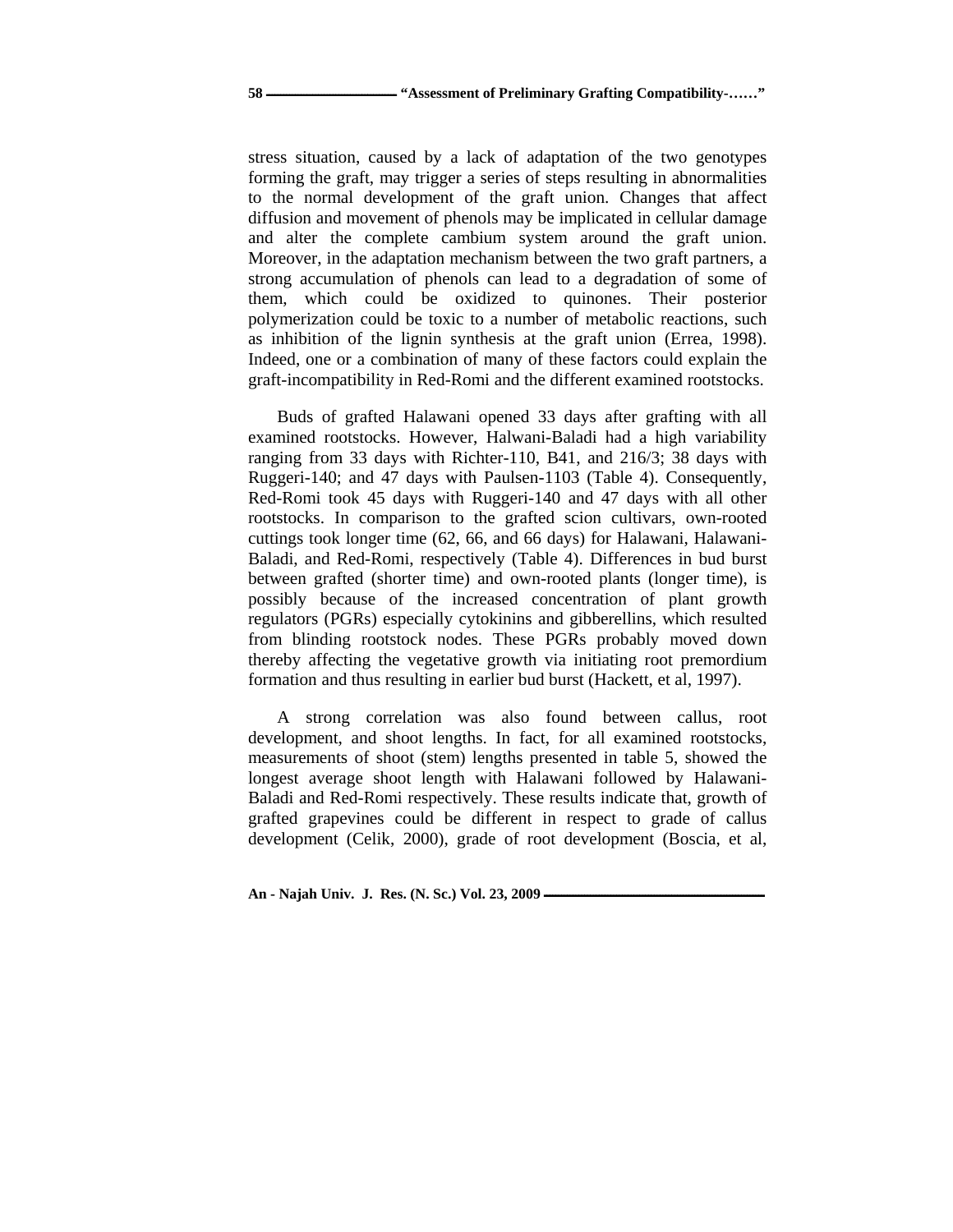stress situation, caused by a lack of adaptation of the two genotypes forming the graft, may trigger a series of steps resulting in abnormalities to the normal development of the graft union. Changes that affect diffusion and movement of phenols may be implicated in cellular damage and alter the complete cambium system around the graft union. Moreover, in the adaptation mechanism between the two graft partners, a strong accumulation of phenols can lead to a degradation of some of them, which could be oxidized to quinones. Their posterior polymerization could be toxic to a number of metabolic reactions, such as inhibition of the lignin synthesis at the graft union (Errea, 1998). Indeed, one or a combination of many of these factors could explain the graft-incompatibility in Red-Romi and the different examined rootstocks.

Buds of grafted Halawani opened 33 days after grafting with all examined rootstocks. However, Halwani-Baladi had a high variability ranging from 33 days with Richter-110, B41, and 216/3; 38 days with Ruggeri-140; and 47 days with Paulsen-1103 (Table 4). Consequently, Red-Romi took 45 days with Ruggeri-140 and 47 days with all other rootstocks. In comparison to the grafted scion cultivars, own-rooted cuttings took longer time (62, 66, and 66 days) for Halawani, Halawani- Baladi, and Red-Romi, respectively (Table 4). Differences in bud burst between grafted (shorter time) and own-rooted plants (longer time), is possibly because of the increased concentration of plant growth regulators (PGRs) especially cytokinins and gibberellins, which resulted from blinding rootstock nodes. These PGRs probably moved down thereby affecting the vegetative growth via initiating root premordium formation and thus resulting in earlier bud burst (Hackett, et al, 1997).

A strong correlation was also found between callus, root development, and shoot lengths. In fact, for all examined rootstocks, measurements of shoot (stem) lengths presented in table 5, showed the longest average shoot length with Halawani followed by Halawani- Baladi and Red-Romi respectively. These results indicate that, growth of grafted grapevines could be different in respect to grade of callus development (Celik, 2000), grade of root development (Boscia, et al,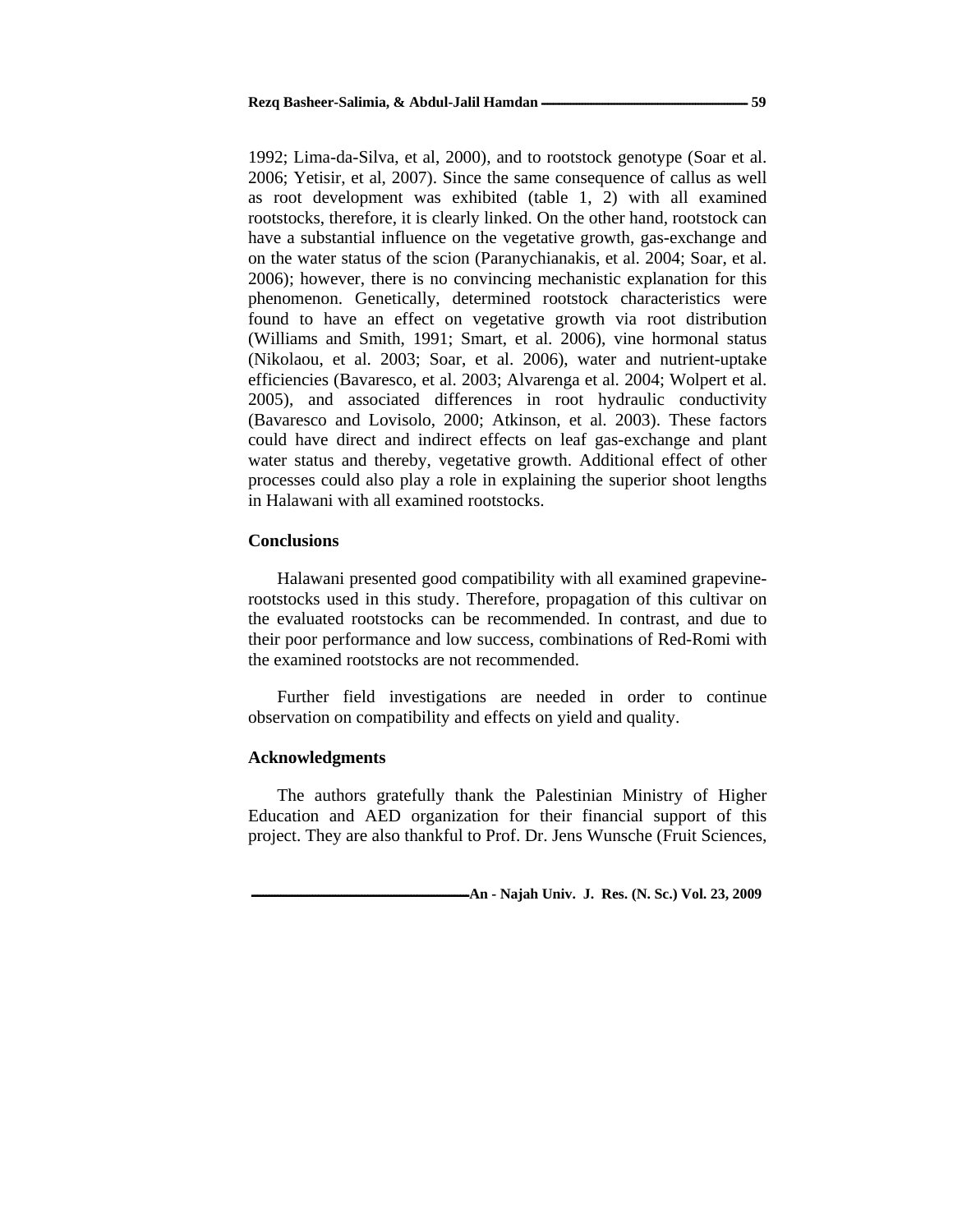1992; Lima-da-Silva, et al, 2000), and to rootstock genotype (Soar et al. 2006; Yetisir, et al, 2007). Since the same consequence of callus as well as root development was exhibited (table 1, 2) with all examined rootstocks, therefore, it is clearly linked. On the other hand, rootstock can have a substantial influence on the vegetative growth, gas-exchange and on the water status of the scion (Paranychianakis, et al. 2004; Soar, et al. 2006); however, there is no convincing mechanistic explanation for this phenomenon. Genetically, determined rootstock characteristics were found to have an effect on vegetative growth via root distribution (Williams and Smith, 1991; Smart, et al. 2006), vine hormonal status (Nikolaou, et al. 2003; Soar, et al. 2006), water and nutrient-uptake efficiencies (Bavaresco, et al. 2003; Alvarenga et al. 2004; Wolpert et al. 2005), and associated differences in root hydraulic conductivity (Bavaresco and Lovisolo, 2000; Atkinson, et al. 2003). These factors could have direct and indirect effects on leaf gas-exchange and plant water status and thereby, vegetative growth. Additional effect of other processes could also play a role in explaining the superior shoot lengths in Halawani with all examined rootstocks.

#### **Conclusions**

Halawani presented good compatibility with all examined grapevinerootstocks used in this study. Therefore, propagation of this cultivar on the evaluated rootstocks can be recommended. In contrast, and due to their poor performance and low success, combinations of Red-Romi with the examined rootstocks are not recommended.

Further field investigations are needed in order to continue observation on compatibility and effects on yield and quality.

#### **Acknowledgments**

The authors gratefully thank the Palestinian Ministry of Higher Education and AED organization for their financial support of this project. They are also thankful to Prof. Dr. Jens Wunsche (Fruit Sciences,

**An - Najah Univ. J. Res. (N. Sc.) Vol. 23, 2009**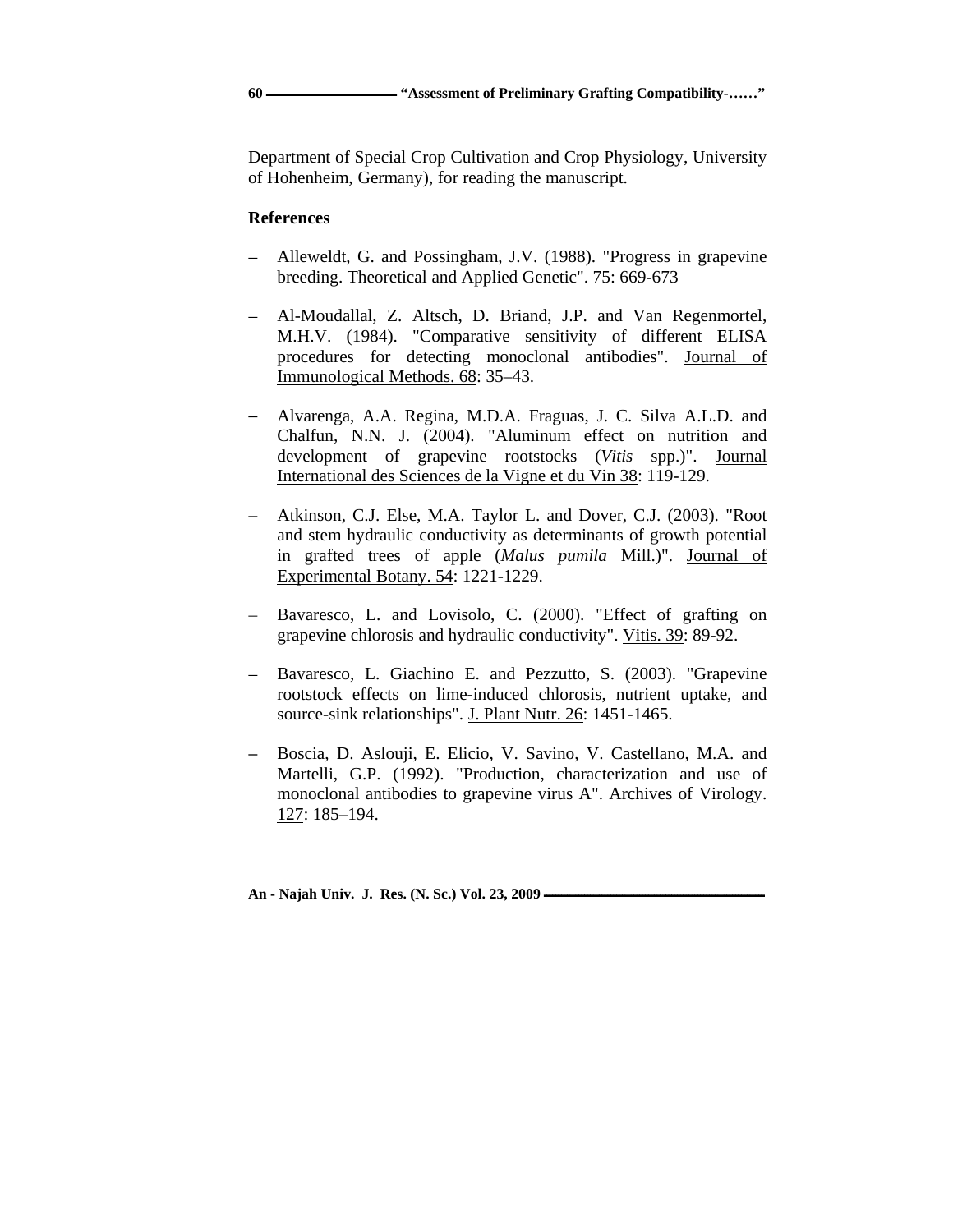Department of Special Crop Cultivation and Crop Physiology, University of Hohenheim, Germany), for reading the manuscript.

# **References**

- Alleweldt, G. and Possingham, J.V. (1988). "Progress in grapevine  $\overline{\phantom{0}}$ breeding. Theoretical and Applied Genetic". 75: 669-673
- Al-Moudallal, Z. Altsch, D. Briand, J.P. and Van Regenmortel, M.H.V. (1984). "Comparative sensitivity of different ELISA procedures for detecting monoclonal antibodies". Journal of Immunological Methods. 68: 35–43.
- Alvarenga, A.A. Regina, M.D.A. Fraguas, J. C. Silva A.L.D. and Chalfun, N.N. J. (2004). "Aluminum effect on nutrition and development of grapevine rootstocks (*Vitis* spp.)". Journal International des Sciences de la Vigne et du Vin 38: 119-129.
- Atkinson, C.J. Else, M.A. Taylor L. and Dover, C.J. (2003). "Root  $\frac{1}{2}$ and stem hydraulic conductivity as determinants of growth potential in grafted trees of apple (*Malus pumila* Mill.)". Journal of Experimental Botany. 54: 1221-1229.
- Bavaresco, L. and Lovisolo, C. (2000). "Effect of grafting on  $\equiv$ grapevine chlorosis and hydraulic conductivity". Vitis. 39: 89-92.
- Bavaresco, L. Giachino E. and Pezzutto, S. (2003). "Grapevine  $\equiv$  . rootstock effects on lime-induced chlorosis, nutrient uptake, and source-sink relationships". J. Plant Nutr. 26: 1451-1465.
- Boscia, D. Aslouji, E. Elicio, V. Savino, V. Castellano, M.A. and Martelli, G.P. (1992). "Production, characterization and use of monoclonal antibodies to grapevine virus A". Archives of Virology. 127: 185–194.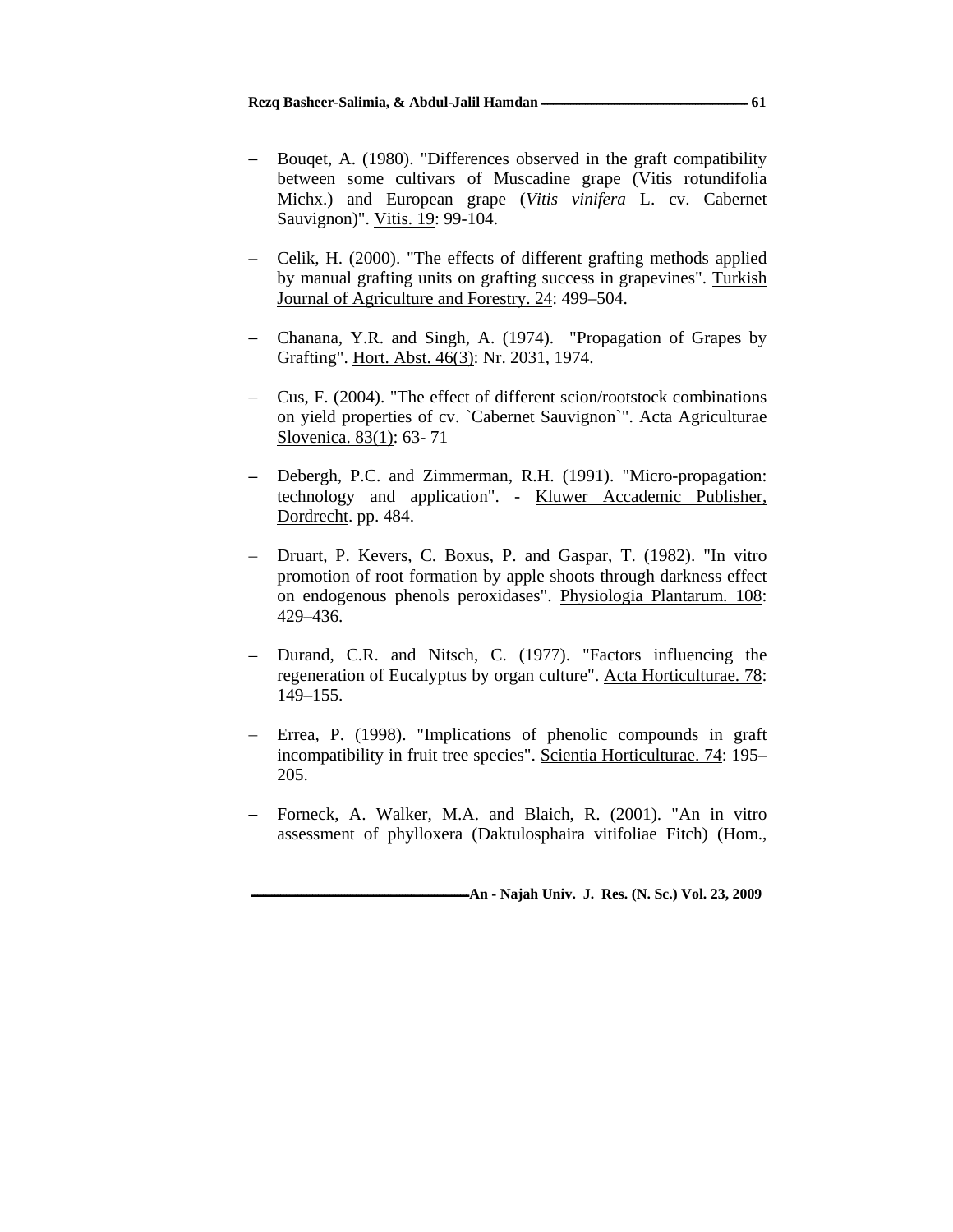#### **Rezq Basheer-Salimia, & Abdul-Jalil Hamdan 61**

- Bouqet, A. (1980). "Differences observed in the graft compatibility  $$ between some cultivars of Muscadine grape (Vitis rotundifolia Michx.) and European grape (*Vitis vinifera* L. cv. Cabernet Sauvignon)". Vitis. 19: 99-104.
- Celik, H. (2000). "The effects of different grafting methods applied by manual grafting units on grafting success in grapevines". Turkish Journal of Agriculture and Forestry. 24: 499–504.
- Chanana, Y.R. and Singh, A. (1974). "Propagation of Grapes by Grafting". Hort. Abst. 46(3): Nr. 2031, 1974.
- Cus, F. (2004). "The effect of different scion/rootstock combinations on yield properties of cv. `Cabernet Sauvignon`". Acta Agriculturae Slovenica. 83(1): 63-71
- Debergh, P.C. and Zimmerman, R.H. (1991). "Micro-propagation: technology and application". - Kluwer Accademic Publisher, Dordrecht. pp. 484.
- Druart, P. Kevers, C. Boxus, P. and Gaspar, T. (1982). "In vitro  $$ promotion of root formation by apple shoots through darkness effect on endogenous phenols peroxidases". Physiologia Plantarum. 108: 429–436.
- Durand, C.R. and Nitsch, C. (1977). "Factors influencing the  $\equiv$ regeneration of Eucalyptus by organ culture". Acta Horticulturae. 78: 149–155.
- Errea, P. (1998). "Implications of phenolic compounds in graft  $\equiv$   $\equiv$ incompatibility in fruit tree species". Scientia Horticulturae. 74: 195– 205.
- Forneck, A. Walker, M.A. and Blaich, R. (2001). "An in vitro  $\,$ assessment of phylloxera (Daktulosphaira vitifoliae Fitch) (Hom.,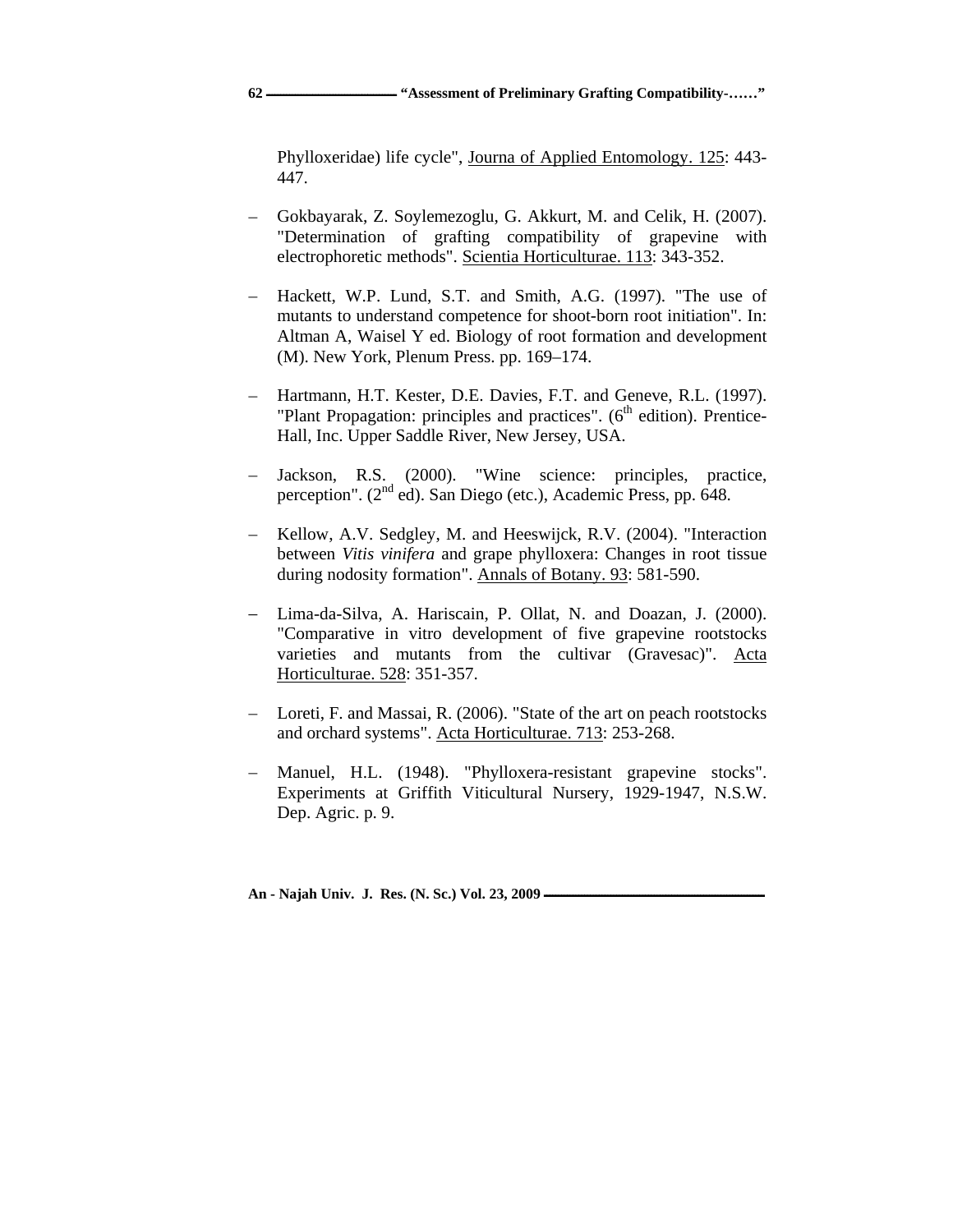Phylloxeridae) life cycle", Journa of Applied Entomology. 125: 443- 447.

- Gokbayarak, Z. Soylemezoglu, G. Akkurt, M. and Celik, H. (2007).  $\equiv$ "Determination of grafting compatibility of grapevine with electrophoretic methods". Scientia Horticulturae. 113: 343-352.
- Hackett, W.P. Lund, S.T. and Smith, A.G. (1997). "The use of  $\,$ mutants to understand competence for shoot-born root initiation". In: Altman A, Waisel Y ed. Biology of root formation and development (M). New York, Plenum Press. pp. 169–174.
- Hartmann, H.T. Kester, D.E. Davies, F.T. and Geneve, R.L. (1997).  $\,$ "Plant Propagation: principles and practices".  $(6<sup>th</sup>$  edition). Prentice-Hall, Inc. Upper Saddle River, New Jersey, USA.
- Jackson, R.S. (2000). "Wine science: principles, practice,  $\equiv$ perception". (2<sup>nd</sup> ed). San Diego (etc.), Academic Press, pp. 648.
- Kellow, A.V. Sedgley, M. and Heeswijck, R.V. (2004). "Interaction  $\equiv$ between *Vitis vinifera* and grape phylloxera: Changes in root tissue during nodosity formation". Annals of Botany. 93: 581-590.
- Lima-da-Silva, A. Hariscain, P. Ollat, N. and Doazan, J. (2000).  $\equiv$ "Comparative in vitro development of five grapevine rootstocks varieties and mutants from the cultivar (Gravesac)". Acta Horticulturae. 528: 351-357.
- Loreti, F. and Massai, R. (2006). "State of the art on peach rootstocks and orchard systems". Acta Horticulturae. 713: 253-268.
- Manuel, H.L. (1948). "Phylloxera-resistant grapevine stocks". Experiments at Griffith Viticultural Nursery, 1929-1947, N.S.W.  $\overline{\phantom{0}}$ Dep. Agric. p. 9.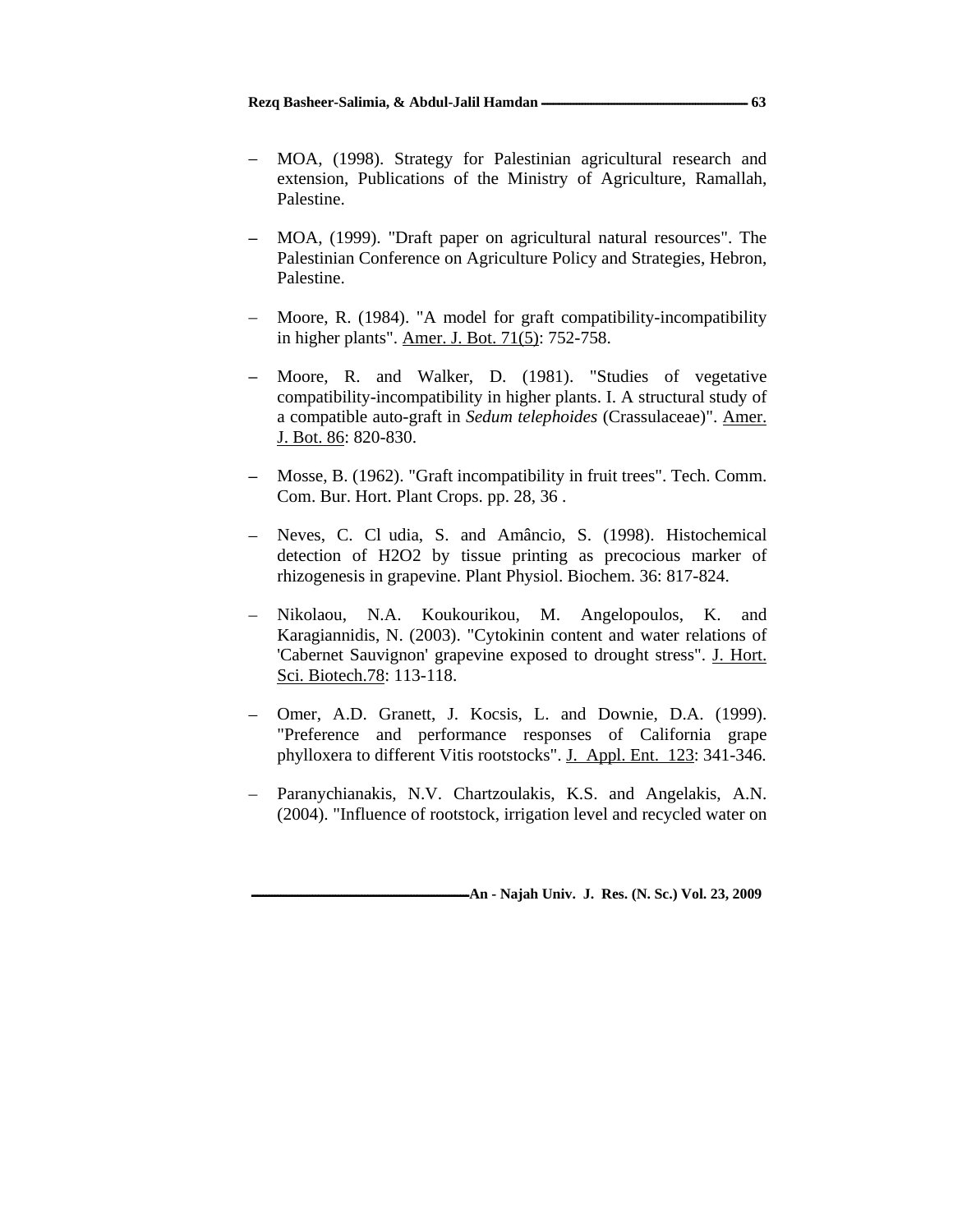- MOA, (1998). Strategy for Palestinian agricultural research and  $$ extension, Publications of the Ministry of Agriculture, Ramallah, Palestine.
- MOA, (1999). "Draft paper on agricultural natural resources". The  $\equiv$ Palestinian Conference on Agriculture Policy and Strategies, Hebron, Palestine.
- Moore, R. (1984). "A model for graft compatibility-incompatibility  $\equiv$ in higher plants". Amer. J. Bot. 71(5): 752-758.
- Moore, R. and Walker, D. (1981). "Studies of vegetative compatibility-incompatibility in higher plants. I. A structural study of a compatible auto-graft in *Sedum telephoides* (Crassulaceae)". Amer. J. Bot. 86: 820-830.
- Mosse, B. (1962). "Graft incompatibility in fruit trees". Tech. Comm. Com. Bur. Hort. Plant Crops. pp. 28, 36 .
- Neves, C. Cl udia, S. and Amâncio, S. (1998). Histochemical  $\equiv$ detection of H2O2 by tissue printing as precocious marker of rhizogenesis in grapevine. Plant Physiol. Biochem. 36: 817-824.
- Nikolaou, N.A. Koukourikou, M. Angelopoulos, K. and  $\overline{\phantom{0}}$ Karagiannidis, N. (2003). "Cytokinin content and water relations of 'Cabernet Sauvignon' grapevine exposed to drought stress". J. Hort. Sci. Biotech.78: 113-118.
- Omer, A.D. Granett, J. Kocsis, L. and Downie, D.A. (1999).  $\,$ "Preference and performance responses of California grape phylloxera to different Vitis rootstocks". J. Appl. Ent. 123: 341-346.
- $\overline{\phantom{0}}$ Paranychianakis, N.V. Chartzoulakis, K.S. and Angelakis, A.N. (2004). "Influence of rootstock, irrigation level and recycled water on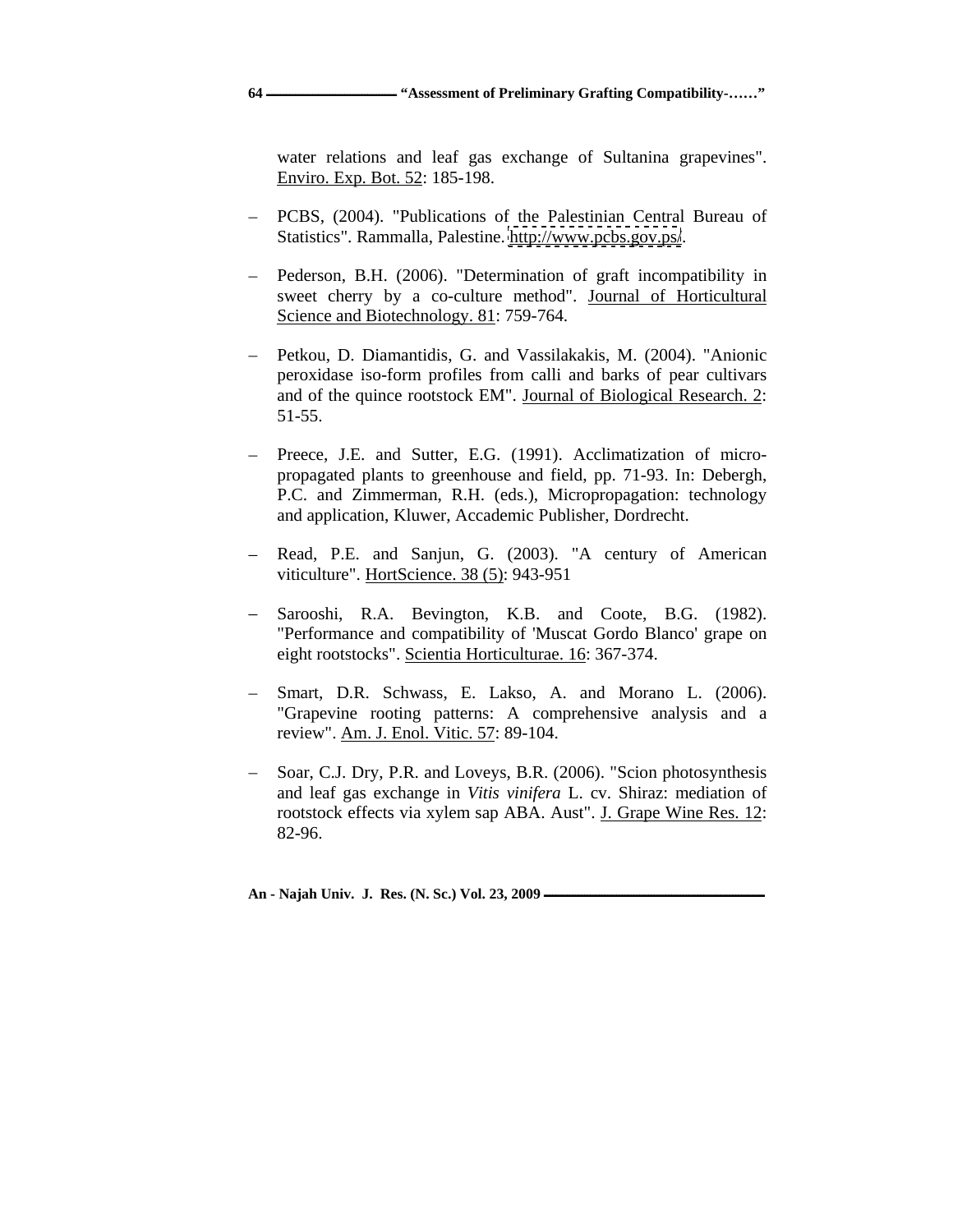water relations and leaf gas exchange of Sultanina grapevines". Enviro. Exp. Bot. 52: 185-198.

- PCBS, (2004). "Publications of the Palestinian Central Bureau of  $\,$ Statistics". Rammalla, Palestine.<http://www.pcbs.gov.ps/>.
- Pederson, B.H. (2006). "Determination of graft incompatibility in sweet cherry by a co-culture method". Journal of Horticultural Science and Biotechnology. 81: 759-764.
- Petkou, D. Diamantidis, G. and Vassilakakis, M. (2004). "Anionic  $\equiv$ peroxidase iso-form profiles from calli and barks of pear cultivars and of the quince rootstock EM". Journal of Biological Research. 2: 51-55.
- Preece, J.E. and Sutter, E.G. (1991). Acclimatization of micro- $$ propagated plants to greenhouse and field, pp. 71-93. In: Debergh, P.C. and Zimmerman, R.H. (eds.), Micropropagation: technology and application, Kluwer, Accademic Publisher, Dordrecht.
- $\equiv$ Read, P.E. and Sanjun, G. (2003). "A century of American viticulture". HortScience. 38 (5): 943-951
- Sarooshi, R.A. Bevington, K.B. and Coote, B.G. (1982).  $\equiv$  . "Performance and compatibility of 'Muscat Gordo Blanco' grape on eight rootstocks". Scientia Horticulturae. 16: 367-374.
- Smart, D.R. Schwass, E. Lakso, A. and Morano L. (2006).  $\equiv$  . "Grapevine rooting patterns: A comprehensive analysis and a review". Am. J. Enol. Vitic. 57: 89-104.
- Soar, C.J. Dry, P.R. and Loveys, B.R. (2006). "Scion photosynthesis  $\overline{\phantom{0}}$ and leaf gas exchange in *Vitis vinifera* L. cv. Shiraz: mediation of rootstock effects via xylem sap ABA. Aust". J. Grape Wine Res. 12: 82-96.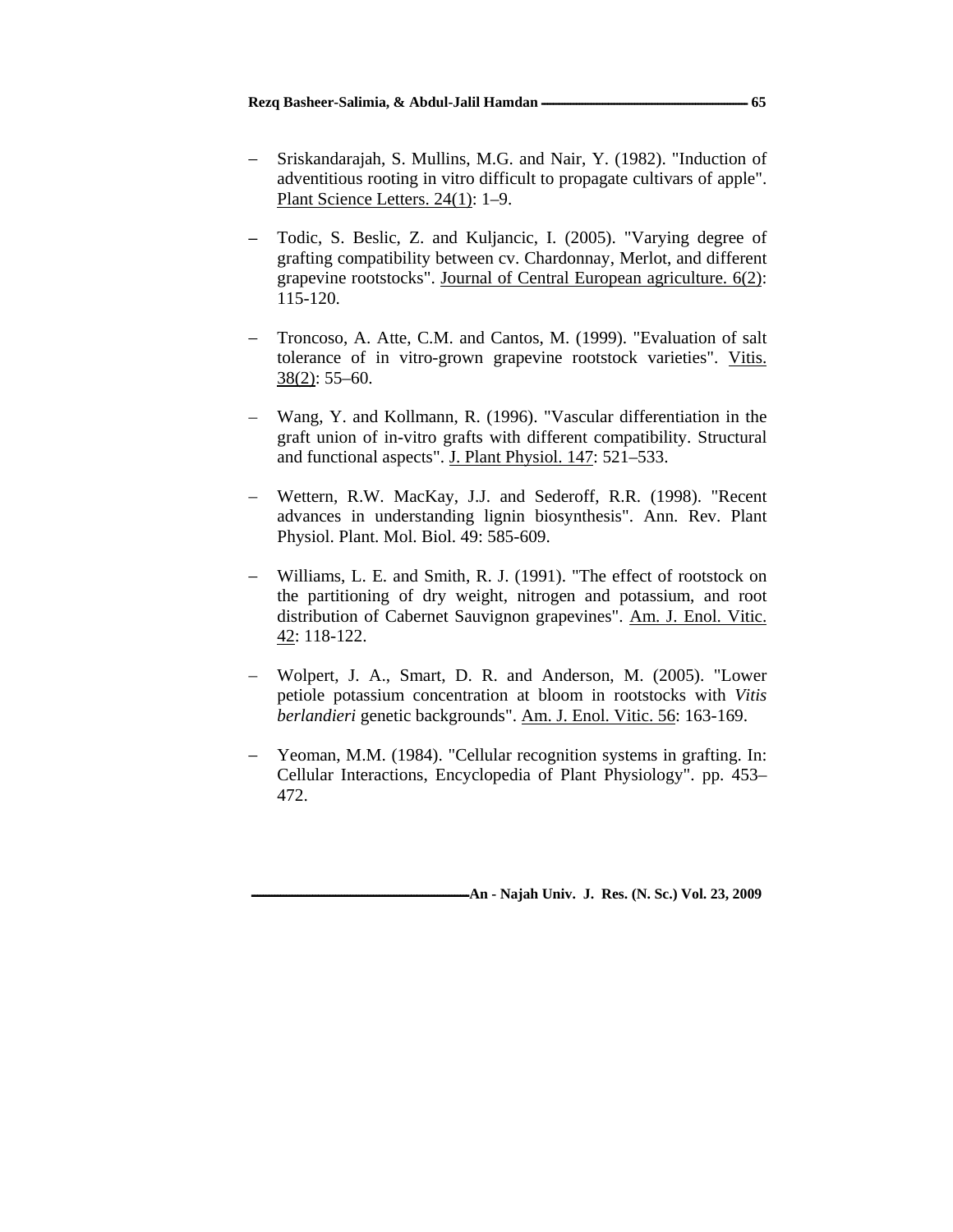- Sriskandarajah, S. Mullins, M.G. and Nair, Y. (1982). "Induction of  $$ adventitious rooting in vitro difficult to propagate cultivars of apple". Plant Science Letters. 24(1): 1–9.
- Todic, S. Beslic, Z. and Kuljancic, I. (2005). "Varying degree of  $\equiv$ grafting compatibility between cv. Chardonnay, Merlot, and different grapevine rootstocks". Journal of Central European agriculture. 6(2): 115-120.
- Troncoso, A. Atte, C.M. and Cantos, M. (1999). "Evaluation of salt  $\equiv$ tolerance of in vitro-grown grapevine rootstock varieties". Vitis.  $38(2)$ : 55–60.
- Wang, Y. and Kollmann, R. (1996). "Vascular differentiation in the  $\equiv$ graft union of in-vitro grafts with different compatibility. Structural and functional aspects". J. Plant Physiol. 147: 521–533.
- Wettern, R.W. MacKay, J.J. and Sederoff, R.R. (1998). "Recent advances in understanding lignin biosynthesis". Ann. Rev. Plant Physiol. Plant. Mol. Biol. 49: 585-609.
- Williams, L. E. and Smith, R. J. (1991). "The effect of rootstock on the partitioning of dry weight, nitrogen and potassium, and root distribution of Cabernet Sauvignon grapevines". Am. J. Enol. Vitic.  $\frac{42}{18}$  118-122.
- Wolpert, J. A., Smart, D. R. and Anderson, M. (2005). "Lower  $$ petiole potassium concentration at bloom in rootstocks with *Vitis berlandieri* genetic backgrounds". Am. J. Enol. Vitic. 56: 163-169.
- Yeoman, M.M. (1984). "Cellular recognition systems in grafting. In: Cellular Interactions, Encyclopedia of Plant Physiology". pp. 453– 472.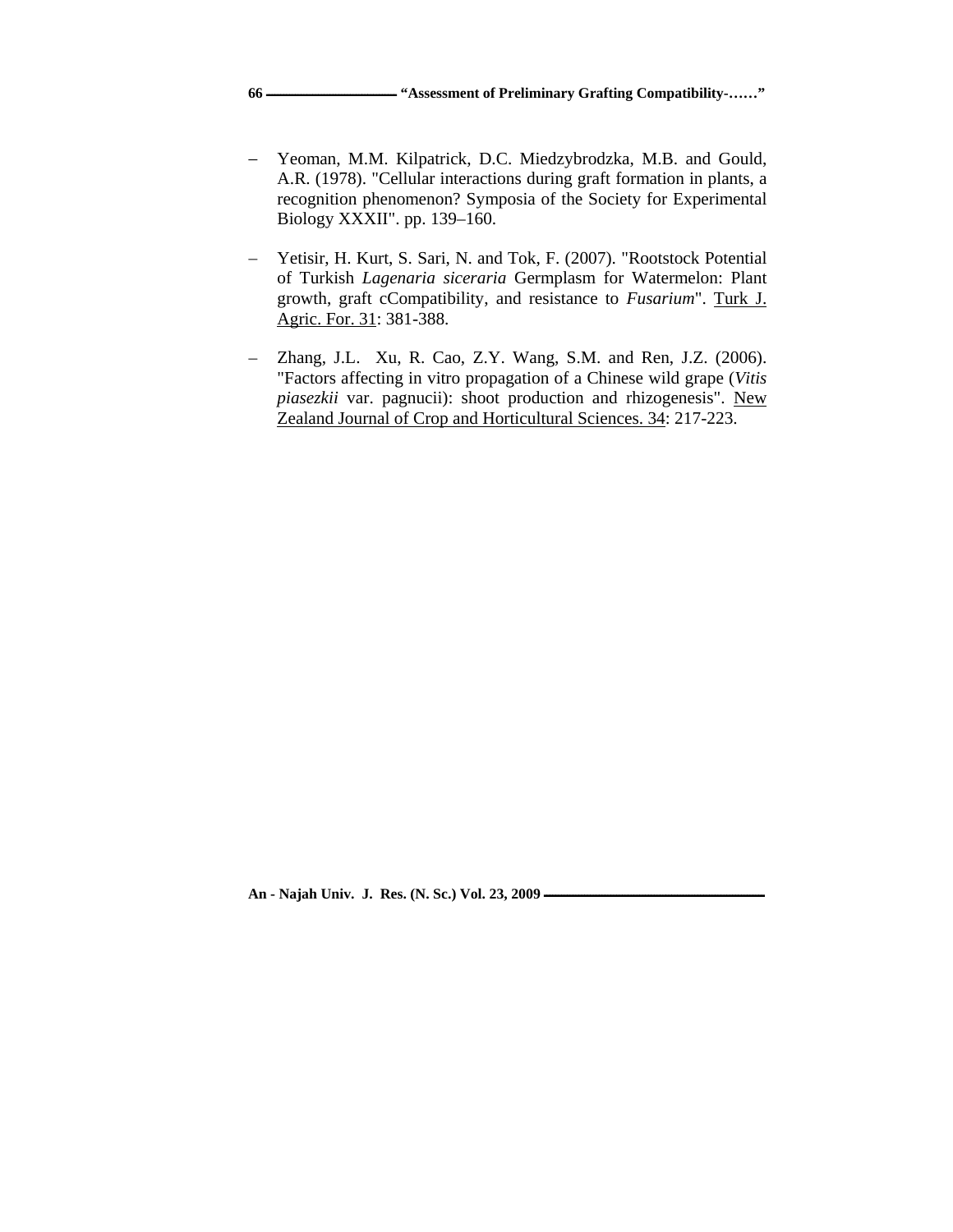- Yeoman, M.M. Kilpatrick, D.C. Miedzybrodzka, M.B. and Gould, A.R. (1978). "Cellular interactions during graft formation in plants, a recognition phenomenon? Symposia of the Society for Experimental Biology XXXII". pp. 139–160.
- Yetisir, H. Kurt, S. Sari, N. and Tok, F. (2007). "Rootstock Potential  $\equiv$ of Turkish *Lagenaria siceraria* Germplasm for Watermelon: Plant growth, graft cCompatibility, and resistance to *Fusarium*". Turk J. Agric. For. 31: 381-388.
- Zhang, J.L. Xu, R. Cao, Z.Y. Wang, S.M. and Ren, J.Z. (2006). "Factors affecting in vitro propagation of aChinese wild grape (*Vitis*   $\equiv$ *piasezkii* var. pagnucii): shoot production and rhizogenesis". New Zealand Journal of Crop and Horticultural Sciences. 34: 217-223.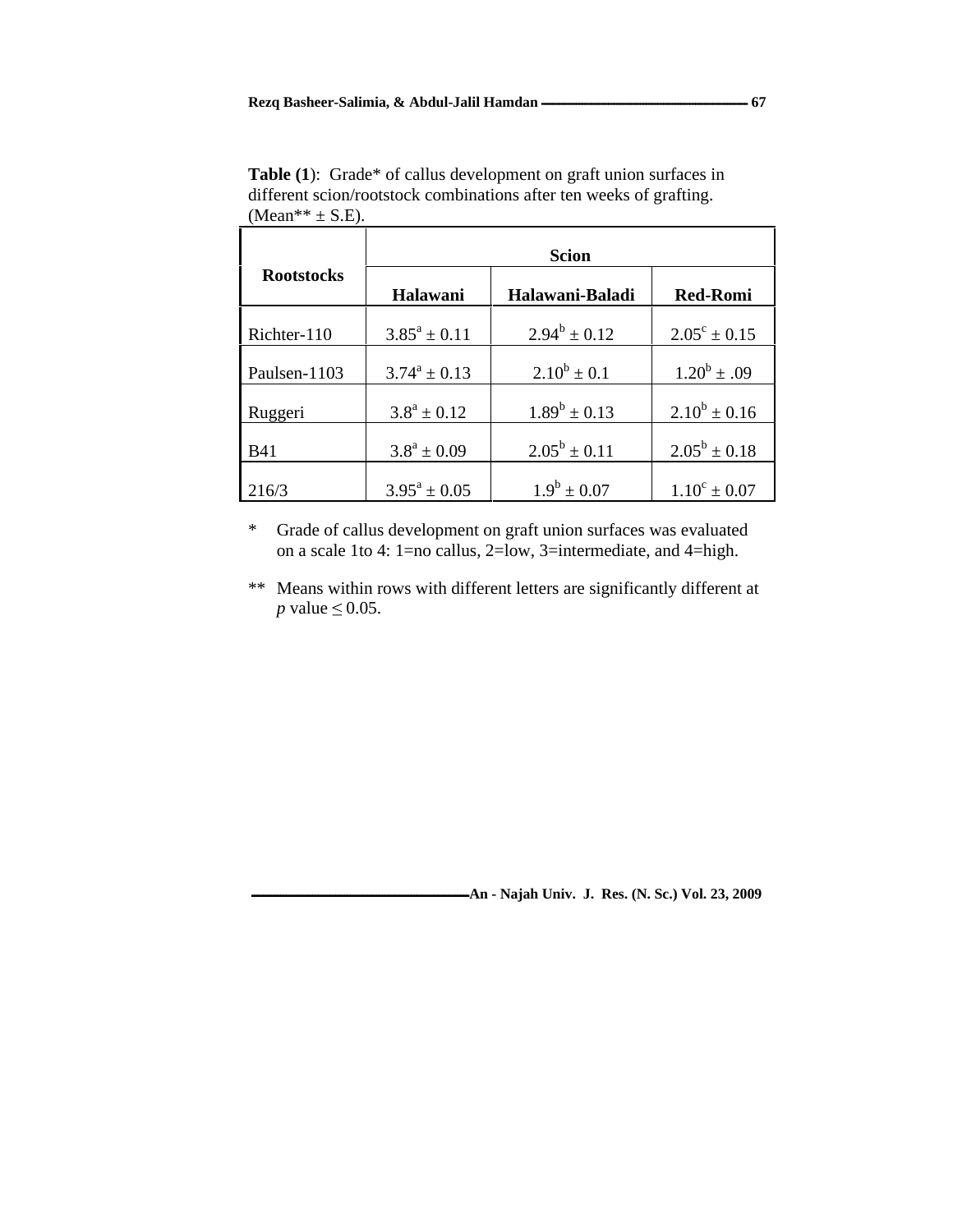|                                                                                                                                          | Scion             |                                                                            |                         |  |
|------------------------------------------------------------------------------------------------------------------------------------------|-------------------|----------------------------------------------------------------------------|-------------------------|--|
| Rootstocks                                                                                                                               | Halawani          | Halawani-Baladi                                                            | <b>Red-Romi</b>         |  |
| Richter-110                                                                                                                              | $3.85^a \pm 0.11$ | $2.94^b \pm 0.12$                                                          | $2.05^{\circ} \pm 0.15$ |  |
| Paulsen-1103                                                                                                                             | $3.74^a \pm 0.13$ | $2.10^b \pm 0.1$                                                           | $1.20^b \pm .09$        |  |
| Ruggeri                                                                                                                                  | $3.8^a \pm 0.12$  | $1.89^b \pm 0.13$                                                          | $2.10^b \pm 0.16$       |  |
| <b>B41</b>                                                                                                                               | $3.8^a \pm 0.09$  | $2.05^b \pm 0.11$                                                          | $2.05^b \pm 0.18$       |  |
| 216/3                                                                                                                                    | $3.95^a \pm 0.05$ | $1.9^b \pm 0.07$                                                           | $1.10^c \pm 0.07$       |  |
| * Grade of callus development on graft union surfaces was evaluated<br>on a scale 1to 4: 1=no callus, 2=low, 3=intermediate, and 4=high. |                   |                                                                            |                         |  |
| <i>p</i> value $\leq 0.05$ .                                                                                                             |                   | ** Means within rows with different letters are significantly different at |                         |  |

Table (1): Grade\* of callus development on graft union surfaces in different scion/rootstock combinations after ten weeks of grafting.  $(Mean** \pm S.E).$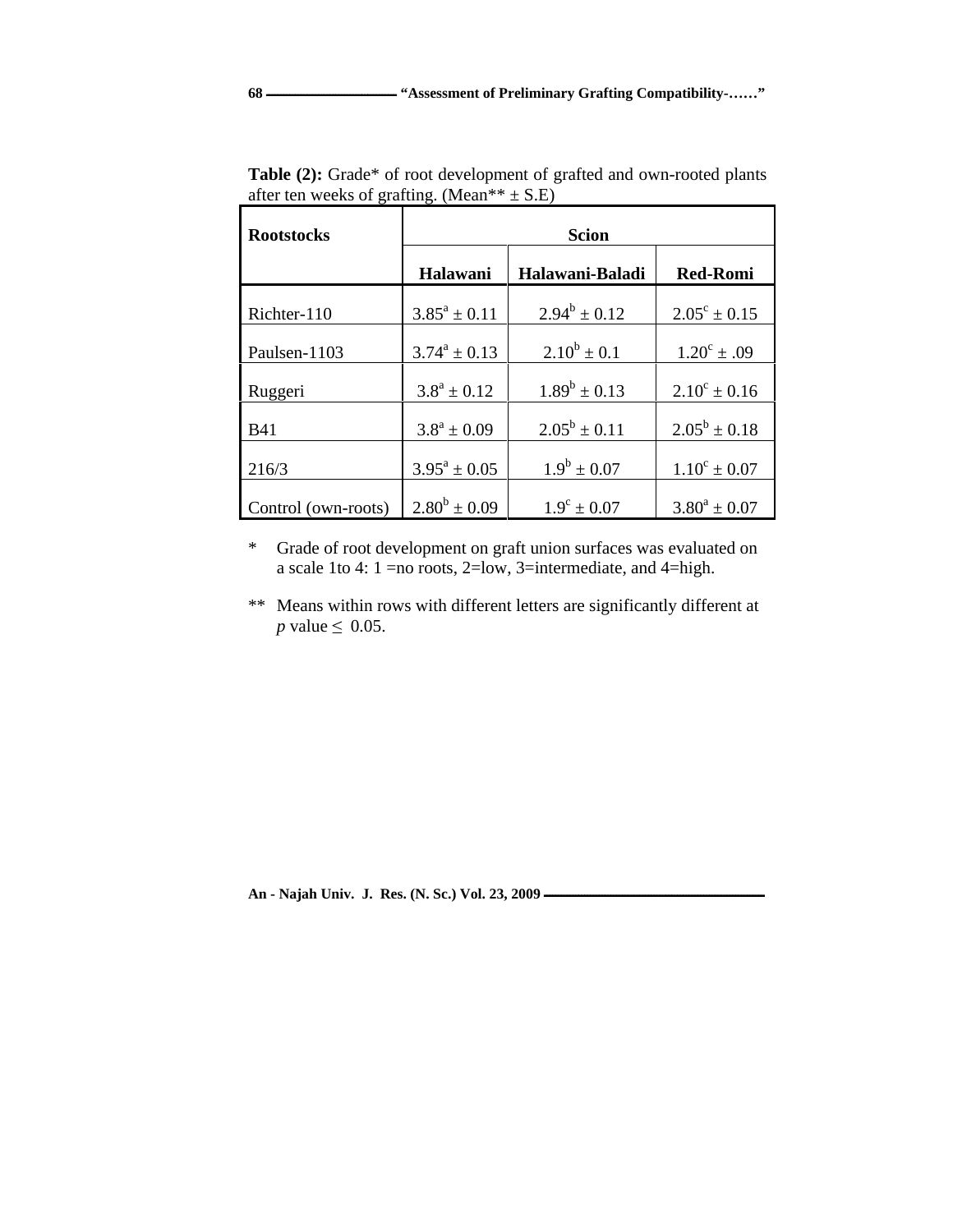| <b>Rootstocks</b>                                          |                         | Scion                  |                         |  |
|------------------------------------------------------------|-------------------------|------------------------|-------------------------|--|
|                                                            | Halawani                | Halawani-Baladi        | <b>Red-Romi</b>         |  |
| Richter-110                                                | $3.85^a \pm 0.11$       | $2.94^b \pm 0.12$      | $2.05^{\circ} \pm 0.15$ |  |
| Paulsen-1103                                               | $3.74^a \pm 0.13$       | $2.10^b \pm 0.1$       | $1.20^{\circ} \pm .09$  |  |
| Ruggeri                                                    | $3.8^a \pm 0.12$        | $1.89^b \pm 0.13$      | $2.10^{\circ} \pm 0.16$ |  |
| <b>B</b> 41                                                | $3.8^a \pm 0.09$        | $2.05^b \pm 0.11$      | $2.05^b \pm 0.18$       |  |
| 216/3                                                      | $3.95^{\rm a} \pm 0.05$ | $1.9^b \pm 0.07$       | $1.10^c \pm 0.07$       |  |
| Control (own-roots) $\left  2.80^{\circ} \pm 0.09 \right $ |                         | $1.9^{\circ} \pm 0.07$ | $3.80^a \pm 0.07$       |  |

**Table (2):** Grade\* of root development of grafted and own-rooted plants after ten weeks of grafting. (Mean<sup>\*\*</sup>  $\pm$  S.E)

\* Grade of root development on graft union surfaces was evaluated on a scale 1to 4: 1 =no roots, 2=low, 3=intermediate, and 4=high.

\*\* Means within rows with different letters are significantly different at  $p$  value  $\leq 0.05$ .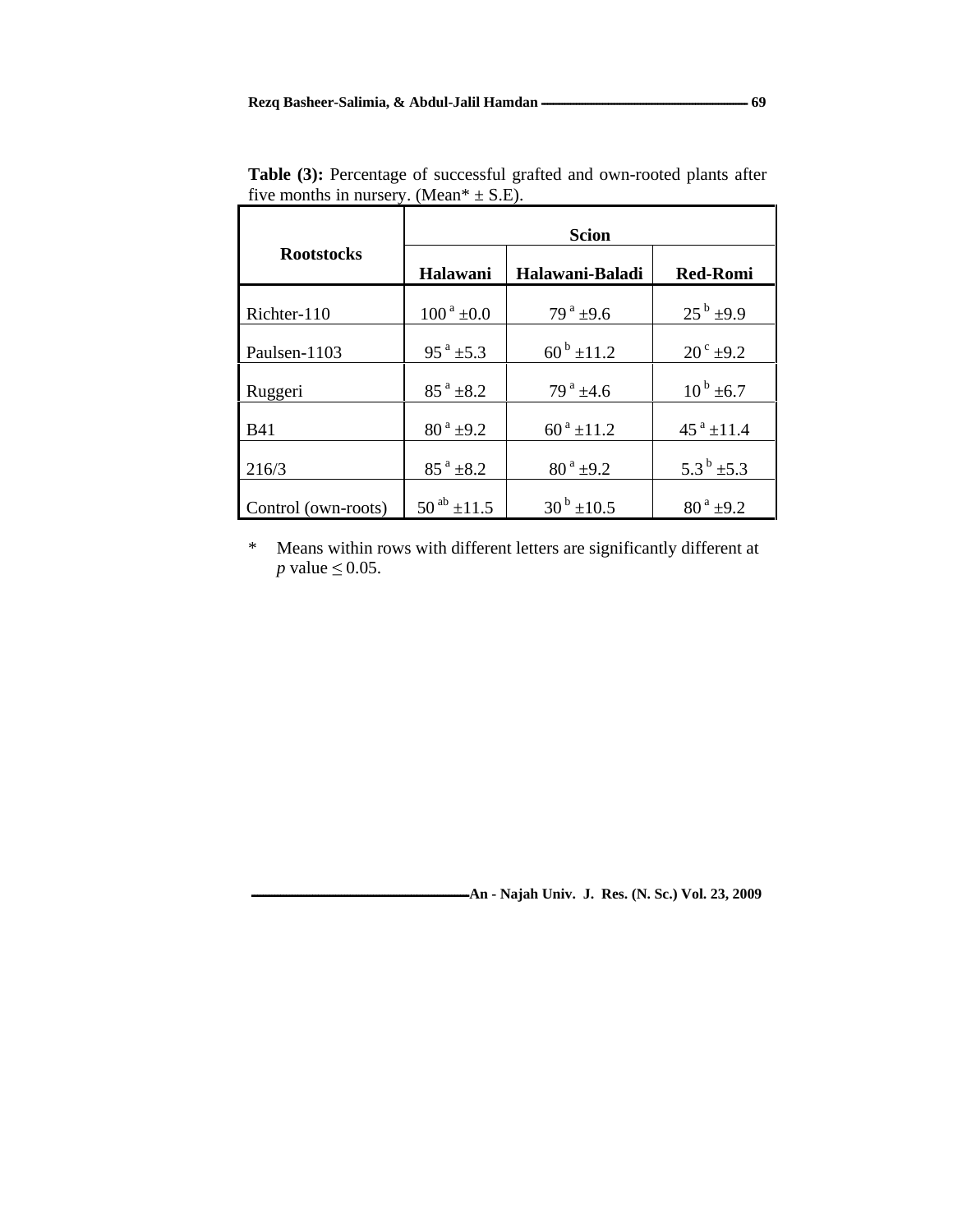|                     |                            | Scion                      |                            |  |
|---------------------|----------------------------|----------------------------|----------------------------|--|
| <b>Rootstocks</b>   |                            | Halawani   Halawani-Baladi | <b>Red-Romi</b>            |  |
| Richter-110         | $100^{\text{ a}}$ ±0.0     | $79^{\text{a}}$ ±9.6       | $25^{\rm b}$ ±9.9          |  |
| Paulsen-1103        | $95^{\text{a}}$ ±5.3       | $60^{\mathrm{b}}$ ±11.2    | $20^{\circ}$ ±9.2          |  |
| Ruggeri             | $85^{\text{ a}}$ $\pm 8.2$ | $79^{\text{a}}$ ±4.6       | $10^{\rm b}$ ±6.7          |  |
| <b>B</b> 41         | $80^{\text{ a}}$ ±9.2      | $60^{\text{a}}$ ±11.2      | $45^{\text{a}}$ ±11.4      |  |
| 216/3               | $85^{\text{ a}}$ $\pm 8.2$ | $80^{\text{a}}$ ±9.2       | 5.3 <sup>b</sup> $\pm$ 5.3 |  |
| Control (own-roots) | $50^{ab}$ ±11.5            | $30^{\mathrm{b}}$ ±10.5    | $80^{\text{ a}}$ ±9.2      |  |

**Table (3):** Percentage of successful grafted and own-rooted plants after five months in nursery. (Mean\*  $\pm$  S.E).

\* Means within rows with different letters are significantly different at  $p$  value  $\leq 0.05$ .  $p$  value  $\leq 0.05$ .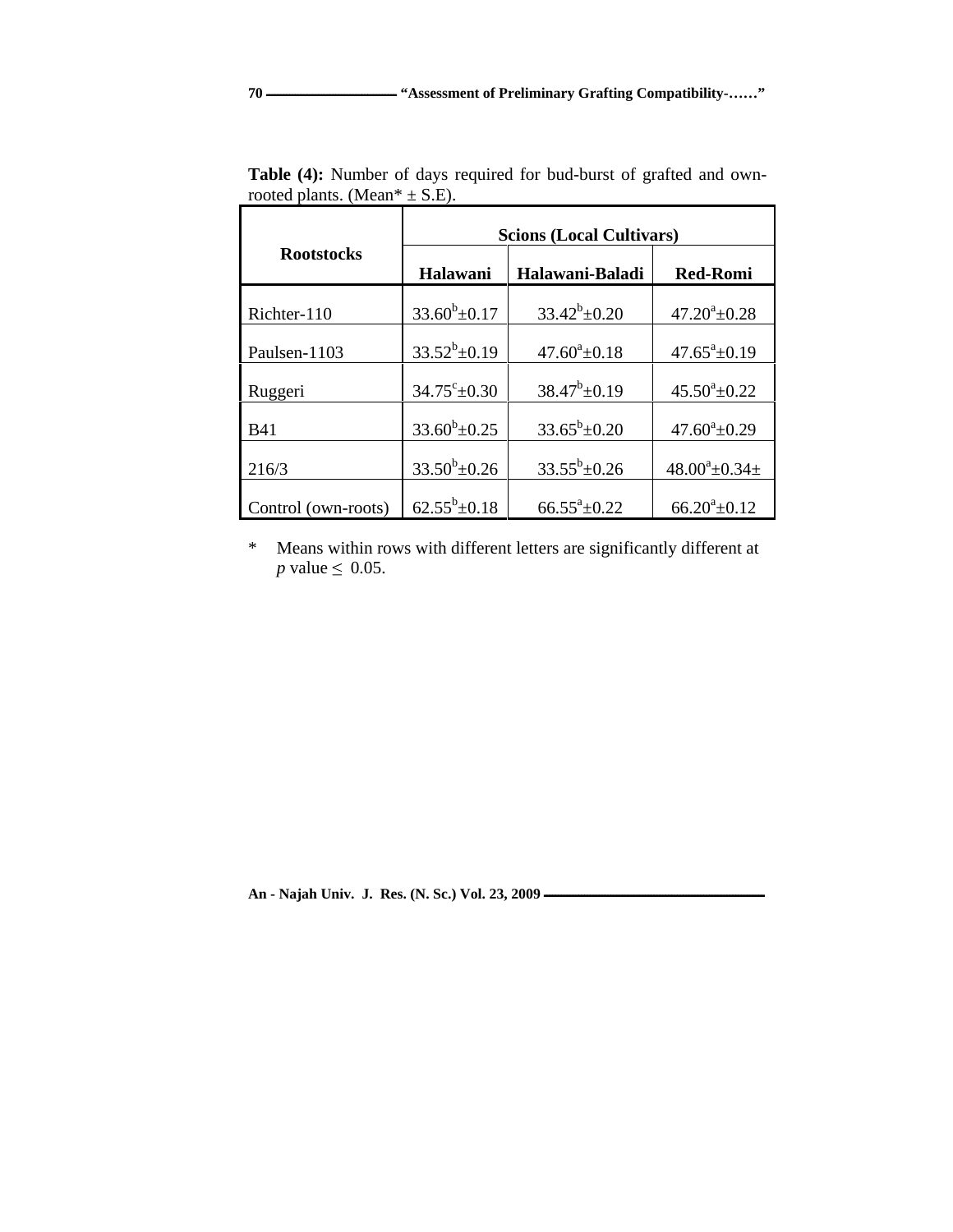|                                                    | <b>Scions (Local Cultivars)</b> |                       |                        |
|----------------------------------------------------|---------------------------------|-----------------------|------------------------|
| <b>Rootstocks</b>                                  | Halawani                        | Halawani-Baladi       | <b>Red-Romi</b>        |
| Richter-110                                        | 33.60 <sup>b</sup> $\pm$ 0.17   | $33.42^b \pm 0.20$    | $47.20^a \pm 0.28$     |
| Paulsen-1103                                       | 33.52 <sup>b</sup> ±0.19        | $47.60^{\circ}$ ±0.18 | $47.65^a \pm 0.19$     |
| Ruggeri                                            | 34.75 $^{\circ}$ ±0.30          | $38.47^b \pm 0.19$    | $45.50^{\circ}$ ±0.22  |
| <b>B</b> 41                                        | 33.60 <sup>b</sup> ±0.25        | $33.65^b \pm 0.20$    | $47.60^{\circ}$ ±0.29  |
| 216/3                                              | 33.50 <sup>b</sup> $\pm$ 0.26   | $33.55^b \pm 0.26$    | $48.00^a \pm 0.34 \pm$ |
| Control (own-roots) $\Big  62.55^b \pm 0.18 \Big $ |                                 | $66.55^{\circ}+0.22$  | $66.20^a \pm 0.12$     |

**Table (4):** Number of days required for bud-burst of grafted and ownrooted plants. (Mean<sup>\*</sup>  $\pm$  S.E).

\* Means within rows with different letters are significantly different at  $p$  value  $\leq 0.05$ .